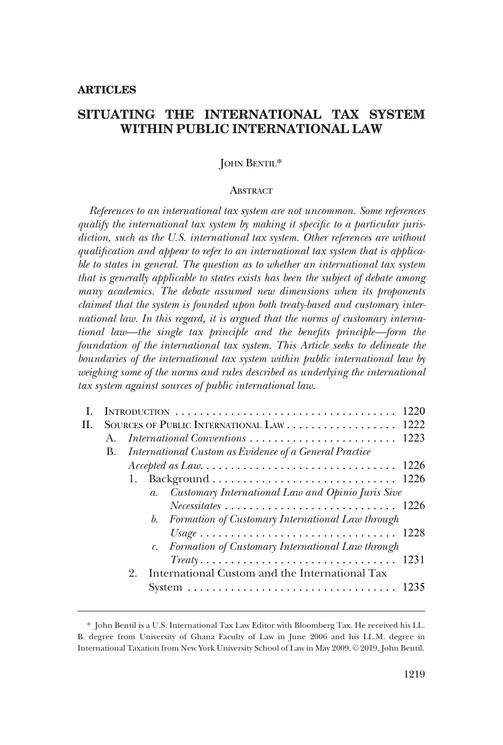# **SITUATING THE INTERNATIONAL TAX SYSTEM WITHIN PUBLIC INTERNATIONAL LAW**

## JOHN BENTIL\*

#### **ABSTRACT**

*References to an international tax system are not uncommon. Some references qualify the international tax system by making it specific to a particular jurisdiction, such as the U.S. international tax system. Other references are without qualification and appear to refer to an international tax system that is applicable to states in general. The question as to whether an international tax system that is generally applicable to states exists has been the subject of debate among many academics. The debate assumed new dimensions when its proponents claimed that the system is founded upon both treaty-based and customary international law. In this regard, it is argued that the norms of customary international law—the single tax principle and the benefits principle—form the foundation of the international tax system. This Article seeks to delineate the boundaries of the international tax system within public international law by weighing some of the norms and rules described as underlying the international tax system against sources of public international law.* 

|    |         |                                                                                     | 1220 |
|----|---------|-------------------------------------------------------------------------------------|------|
| H. |         | SOURCES OF PUBLIC INTERNATIONAL LAW 1222                                            |      |
|    | $A_{-}$ |                                                                                     |      |
|    | В.      | International Custom as Evidence of a General Practice                              |      |
|    |         |                                                                                     |      |
|    |         |                                                                                     | 1226 |
|    |         | Customary International Law and Opinio Juris Sive<br>$a_{\cdot}$                    |      |
|    |         | $Necessitates \dots \dots \dots \dots \dots \dots \dots \dots \dots \dots \ 1226$   |      |
|    |         | b. Formation of Customary International Law through                                 |      |
|    |         |                                                                                     |      |
|    |         | c. Formation of Customary International Law through                                 |      |
|    |         | $Treaty \ldots \ldots \ldots \ldots \ldots \ldots \ldots \ldots \ldots \ldots 1231$ |      |
|    |         | International Custom and the International Tax<br>9.                                |      |
|    |         |                                                                                     | 1235 |
|    |         |                                                                                     |      |

<sup>\*</sup> John Bentil is a U.S. International Tax Law Editor with Bloomberg Tax. He received his LL. B. degree from University of Ghana Faculty of Law in June 2006 and his LL.M. degree in International Taxation from New York University School of Law in May 2009. © 2019, John Bentil.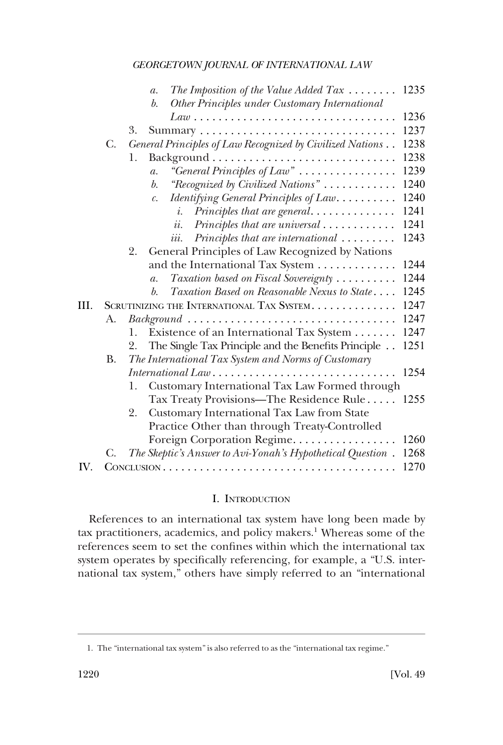<span id="page-1-0"></span>

|      |           | The Imposition of the Value Added Tax $\dots\dots$<br>1235<br>$\mathfrak{a}.$<br>b.                                                                 |
|------|-----------|-----------------------------------------------------------------------------------------------------------------------------------------------------|
|      |           | Other Principles under Customary International<br>1236<br>$Law \dots \dots \dots \dots \dots \dots \dots \dots \dots \dots \dots \dots \dots \dots$ |
|      |           | 1237<br>3.                                                                                                                                          |
|      | C.        | 1238<br>General Principles of Law Recognized by Civilized Nations                                                                                   |
|      |           | 1238<br>1.                                                                                                                                          |
|      |           | "General Principles of Law"<br>1239<br>$\mathfrak{a}.$                                                                                              |
|      |           | 1240<br>"Recognized by Civilized Nations"<br>b.                                                                                                     |
|      |           | 1240<br>Identifying General Principles of Law<br>$\mathcal{C}$ .                                                                                    |
|      |           | 1241<br>Principles that are general<br>i.                                                                                                           |
|      |           | 1241<br>$Principles that are universal \dots \dots \dots \dots$<br>ii.                                                                              |
|      |           | 1243<br>$Principles that are international \dots \dots$<br>iii.                                                                                     |
|      |           | General Principles of Law Recognized by Nations<br>2.                                                                                               |
|      |           | and the International Tax System<br>1244                                                                                                            |
|      |           | Taxation based on Fiscal Sovereignty<br>1244<br>$\overline{a}$ .                                                                                    |
|      |           | 1245<br>Taxation Based on Reasonable Nexus to State<br>b.                                                                                           |
| III. |           | 1247<br>SCRUTINIZING THE INTERNATIONAL TAX SYSTEM.                                                                                                  |
|      | А.        | 1247<br>$Background \dots \dots \dots \dots \dots \dots \dots \dots \dots \dots \dots \dots \dots$                                                  |
|      |           | Existence of an International Tax System<br>1247<br>1.                                                                                              |
|      |           | The Single Tax Principle and the Benefits Principle<br>1251<br>2.                                                                                   |
|      | <b>B.</b> | The International Tax System and Norms of Customary                                                                                                 |
|      |           | 1254                                                                                                                                                |
|      |           | Customary International Tax Law Formed through<br>1.                                                                                                |
|      |           | Tax Treaty Provisions—The Residence Rule<br>1255                                                                                                    |
|      |           | Customary International Tax Law from State<br>2.                                                                                                    |
|      |           | Practice Other than through Treaty-Controlled                                                                                                       |
|      |           | 1260<br>Foreign Corporation Regime                                                                                                                  |
|      | C.        | The Skeptic's Answer to Avi-Yonah's Hypothetical Question.<br>1268                                                                                  |
| IV.  |           | 1270                                                                                                                                                |

## I. INTRODUCTION

References to an international tax system have long been made by tax practitioners, academics, and policy makers.<sup>1</sup> Whereas some of the references seem to set the confines within which the international tax system operates by specifically referencing, for example, a "U.S. international tax system," others have simply referred to an "international

<sup>1.</sup> The "international tax system" is also referred to as the "international tax regime."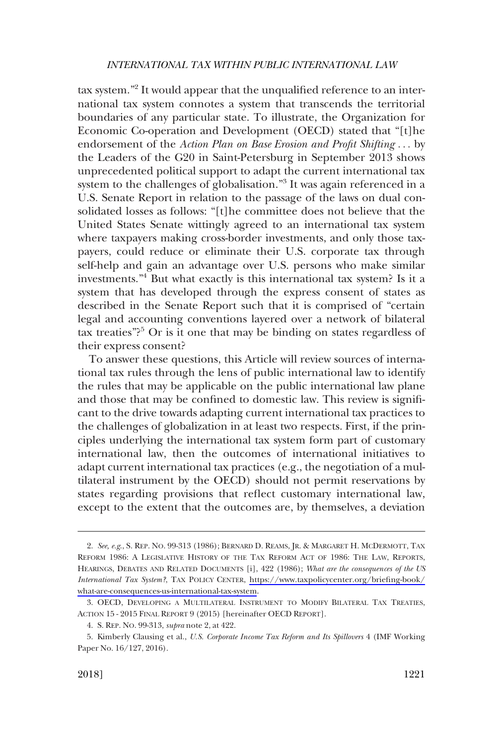tax system."<sup>2</sup> It would appear that the unqualified reference to an international tax system connotes a system that transcends the territorial boundaries of any particular state. To illustrate, the Organization for Economic Co-operation and Development (OECD) stated that "[t]he endorsement of the *Action Plan on Base Erosion and Profit Shifting* . . . by the Leaders of the G20 in Saint-Petersburg in September 2013 shows unprecedented political support to adapt the current international tax system to the challenges of globalisation."<sup>3</sup> It was again referenced in a U.S. Senate Report in relation to the passage of the laws on dual consolidated losses as follows: "[t]he committee does not believe that the United States Senate wittingly agreed to an international tax system where taxpayers making cross-border investments, and only those taxpayers, could reduce or eliminate their U.S. corporate tax through self-help and gain an advantage over U.S. persons who make similar investments."4 But what exactly is this international tax system? Is it a system that has developed through the express consent of states as described in the Senate Report such that it is comprised of "certain legal and accounting conventions layered over a network of bilateral tax treaties"?<sup>5</sup> Or is it one that may be binding on states regardless of their express consent?

To answer these questions, this Article will review sources of international tax rules through the lens of public international law to identify the rules that may be applicable on the public international law plane and those that may be confined to domestic law. This review is significant to the drive towards adapting current international tax practices to the challenges of globalization in at least two respects. First, if the principles underlying the international tax system form part of customary international law, then the outcomes of international initiatives to adapt current international tax practices (e.g., the negotiation of a multilateral instrument by the OECD) should not permit reservations by states regarding provisions that reflect customary international law, except to the extent that the outcomes are, by themselves, a deviation

*See, e.g*., S. REP. NO. 99-313 (1986); BERNARD D. REAMS, JR. & MARGARET H. MCDERMOTT, TAX 2. REFORM 1986: A LEGISLATIVE HISTORY OF THE TAX REFORM ACT OF 1986: THE LAW, REPORTS, HEARINGS, DEBATES AND RELATED DOCUMENTS [i], 422 (1986); *What are the consequences of the US International Tax System?*, TAX POLICY CENTER, [https://www.taxpolicycenter.org/briefing-book/](https://www.taxpolicycenter.org/briefing-book/what-are-consequences-us-international-tax-system) [what-are-consequences-us-international-tax-system](https://www.taxpolicycenter.org/briefing-book/what-are-consequences-us-international-tax-system).

<sup>3.</sup> OECD, DEVELOPING A MULTILATERAL INSTRUMENT TO MODIFY BILATERAL TAX TREATIES, ACTION 15 - 2015 FINAL REPORT 9 (2015) [hereinafter OECD REPORT].

<sup>4.</sup> S. REP. NO. 99-313, *supra* note 2, at 422.

<sup>5.</sup> Kimberly Clausing et al., *U.S. Corporate Income Tax Reform and Its Spillovers* 4 (IMF Working Paper No. 16/127, 2016).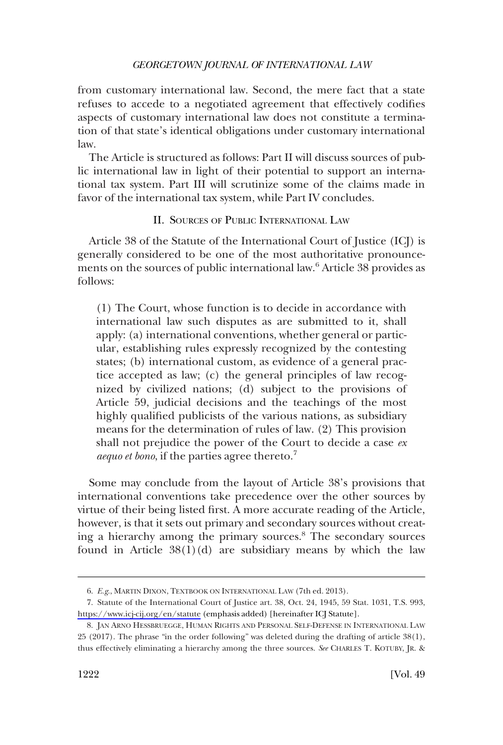<span id="page-3-0"></span>from customary international law. Second, the mere fact that a state refuses to accede to a negotiated agreement that effectively codifies aspects of customary international law does not constitute a termination of that state's identical obligations under customary international law.

The Article is structured as follows: Part II will discuss sources of public international law in light of their potential to support an international tax system. Part III will scrutinize some of the claims made in favor of the international tax system, while Part IV concludes.

II. SOURCES OF PUBLIC INTERNATIONAL LAW

Article 38 of the Statute of the International Court of Justice (ICJ) is generally considered to be one of the most authoritative pronouncements on the sources of public international law.<sup>6</sup> Article 38 provides as follows:

(1) The Court, whose function is to decide in accordance with international law such disputes as are submitted to it, shall apply: (a) international conventions, whether general or particular, establishing rules expressly recognized by the contesting states; (b) international custom, as evidence of a general practice accepted as law; (c) the general principles of law recognized by civilized nations; (d) subject to the provisions of Article 59, judicial decisions and the teachings of the most highly qualified publicists of the various nations, as subsidiary means for the determination of rules of law. (2) This provision shall not prejudice the power of the Court to decide a case *ex aequo et bono*, if the parties agree thereto.<sup>7</sup>

Some may conclude from the layout of Article 38's provisions that international conventions take precedence over the other sources by virtue of their being listed first. A more accurate reading of the Article, however, is that it sets out primary and secondary sources without creating a hierarchy among the primary sources.8 The secondary sources found in Article  $38(1)(d)$  are subsidiary means by which the law

<sup>6.</sup> *E.g*., MARTIN DIXON, TEXTBOOK ON INTERNATIONAL LAW (7th ed. 2013).

Statute of the International Court of Justice art. 38, Oct. 24, 1945, 59 Stat. 1031, T.S. 993, 7. <https://www.icj-cij.org/en/statute> (emphasis added) [hereinafter ICJ Statute].

<sup>8.</sup> JAN ARNO HESSBRUEGGE, HUMAN RIGHTS AND PERSONAL SELF-DEFENSE IN INTERNATIONAL LAW 25 (2017). The phrase "in the order following" was deleted during the drafting of article 38(1), thus effectively eliminating a hierarchy among the three sources. *See* CHARLES T. KOTUBY, JR. &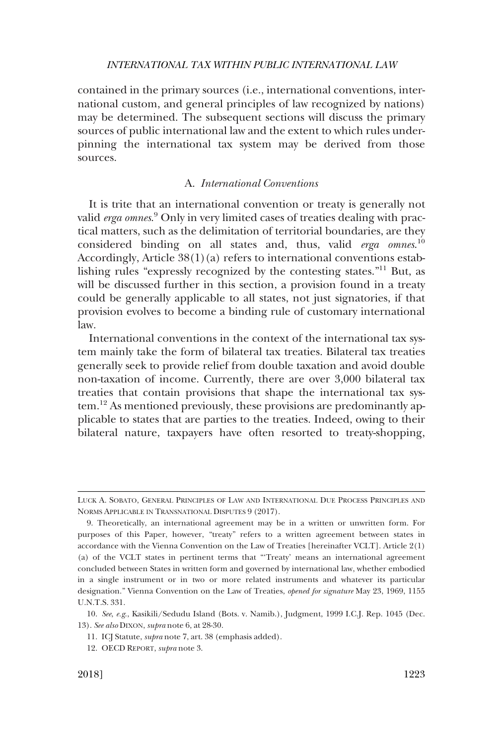<span id="page-4-0"></span>contained in the primary sources (i.e., international conventions, international custom, and general principles of law recognized by nations) may be determined. The subsequent sections will discuss the primary sources of public international law and the extent to which rules underpinning the international tax system may be derived from those sources.

## A. *International Conventions*

It is trite that an international convention or treaty is generally not valid *erga omnes*. 9 Only in very limited cases of treaties dealing with practical matters, such as the delimitation of territorial boundaries, are they considered binding on all states and, thus, valid *erga omnes*. 10 Accordingly, Article 38(1)(a) refers to international conventions establishing rules "expressly recognized by the contesting states."11 But, as will be discussed further in this section, a provision found in a treaty could be generally applicable to all states, not just signatories, if that provision evolves to become a binding rule of customary international law.

International conventions in the context of the international tax system mainly take the form of bilateral tax treaties. Bilateral tax treaties generally seek to provide relief from double taxation and avoid double non-taxation of income. Currently, there are over 3,000 bilateral tax treaties that contain provisions that shape the international tax system.12 As mentioned previously, these provisions are predominantly applicable to states that are parties to the treaties. Indeed, owing to their bilateral nature, taxpayers have often resorted to treaty-shopping,

LUCK A. SOBATO, GENERAL PRINCIPLES OF LAW AND INTERNATIONAL DUE PROCESS PRINCIPLES AND NORMS APPLICABLE IN TRANSNATIONAL DISPUTES 9 (2017).

<sup>9.</sup> Theoretically, an international agreement may be in a written or unwritten form. For purposes of this Paper, however, "treaty" refers to a written agreement between states in accordance with the Vienna Convention on the Law of Treaties [hereinafter VCLT]. Article 2(1) (a) of the VCLT states in pertinent terms that "'Treaty' means an international agreement concluded between States in written form and governed by international law, whether embodied in a single instrument or in two or more related instruments and whatever its particular designation." Vienna Convention on the Law of Treaties, *opened for signature* May 23, 1969, 1155 U.N.T.S. 331.

<sup>10.</sup> *See*, *e.g*., Kasikili/Sedudu Island (Bots. v. Namib.), Judgment, 1999 I.C.J. Rep. 1045 (Dec. 13). *See also* DIXON, *supra* note 6, at 28-30.

<sup>11.</sup> ICJ Statute, *supra* note 7, art. 38 (emphasis added).

<sup>12.</sup> OECD REPORT, *supra* note 3.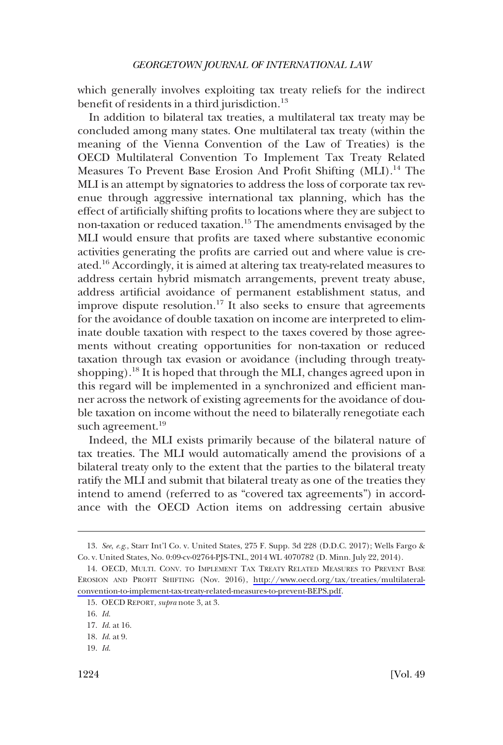which generally involves exploiting tax treaty reliefs for the indirect benefit of residents in a third jurisdiction.<sup>13</sup>

In addition to bilateral tax treaties, a multilateral tax treaty may be concluded among many states. One multilateral tax treaty (within the meaning of the Vienna Convention of the Law of Treaties) is the OECD Multilateral Convention To Implement Tax Treaty Related Measures To Prevent Base Erosion And Profit Shifting (MLI).<sup>14</sup> The MLI is an attempt by signatories to address the loss of corporate tax revenue through aggressive international tax planning, which has the effect of artificially shifting profits to locations where they are subject to non-taxation or reduced taxation.15 The amendments envisaged by the MLI would ensure that profits are taxed where substantive economic activities generating the profits are carried out and where value is created.16 Accordingly, it is aimed at altering tax treaty-related measures to address certain hybrid mismatch arrangements, prevent treaty abuse, address artificial avoidance of permanent establishment status, and improve dispute resolution.<sup>17</sup> It also seeks to ensure that agreements for the avoidance of double taxation on income are interpreted to eliminate double taxation with respect to the taxes covered by those agreements without creating opportunities for non-taxation or reduced taxation through tax evasion or avoidance (including through treatyshopping).<sup>18</sup> It is hoped that through the MLI, changes agreed upon in this regard will be implemented in a synchronized and efficient manner across the network of existing agreements for the avoidance of double taxation on income without the need to bilaterally renegotiate each such agreement.<sup>19</sup>

Indeed, the MLI exists primarily because of the bilateral nature of tax treaties. The MLI would automatically amend the provisions of a bilateral treaty only to the extent that the parties to the bilateral treaty ratify the MLI and submit that bilateral treaty as one of the treaties they intend to amend (referred to as "covered tax agreements") in accordance with the OECD Action items on addressing certain abusive

<sup>13.</sup> *See*, *e.g*., Starr Int'l Co. v. United States, 275 F. Supp. 3d 228 (D.D.C. 2017); Wells Fargo & Co. v. United States, No. 0:09-cv-02764-PJS-TNL, 2014 WL 4070782 (D. Minn. July 22, 2014).

<sup>14.</sup> OECD, MULTI. CONV. TO IMPLEMENT TAX TREATY RELATED MEASURES TO PREVENT BASE EROSION AND PROFIT SHIFTING (Nov. 2016), [http://www.oecd.org/tax/treaties/multilateral](http://www.oecd.org/tax/treaties/multilateral-convention-to-implement-tax-treaty-related-measures-to-prevent-BEPS.pdf)[convention-to-implement-tax-treaty-related-measures-to-prevent-BEPS.pdf.](http://www.oecd.org/tax/treaties/multilateral-convention-to-implement-tax-treaty-related-measures-to-prevent-BEPS.pdf)

<sup>15.</sup> OECD REPORT, *supra* note 3, at 3.

<sup>16.</sup> *Id*.

<sup>17.</sup> *Id*. at 16.

<sup>18.</sup> *Id*. at 9.

<sup>19.</sup> *Id*.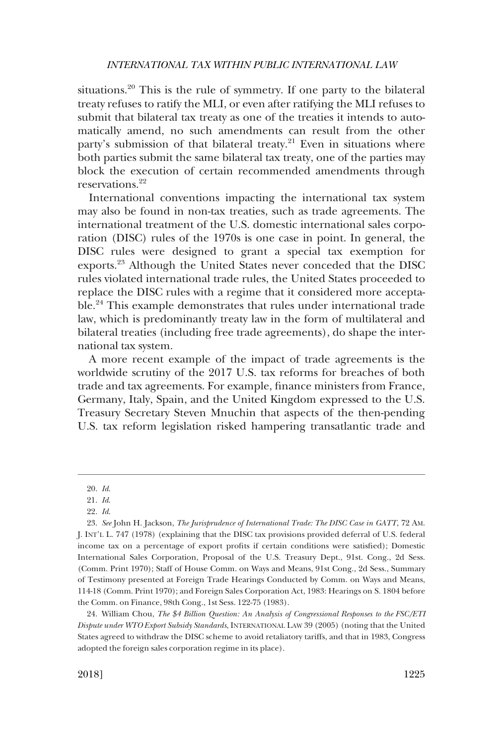situations.20 This is the rule of symmetry. If one party to the bilateral treaty refuses to ratify the MLI, or even after ratifying the MLI refuses to submit that bilateral tax treaty as one of the treaties it intends to automatically amend, no such amendments can result from the other party's submission of that bilateral treaty.<sup>21</sup> Even in situations where both parties submit the same bilateral tax treaty, one of the parties may block the execution of certain recommended amendments through reservations<sup>22</sup>

International conventions impacting the international tax system may also be found in non-tax treaties, such as trade agreements. The international treatment of the U.S. domestic international sales corporation (DISC) rules of the 1970s is one case in point. In general, the DISC rules were designed to grant a special tax exemption for exports.<sup>23</sup> Although the United States never conceded that the DISC rules violated international trade rules, the United States proceeded to replace the DISC rules with a regime that it considered more acceptable.24 This example demonstrates that rules under international trade law, which is predominantly treaty law in the form of multilateral and bilateral treaties (including free trade agreements), do shape the international tax system.

A more recent example of the impact of trade agreements is the worldwide scrutiny of the 2017 U.S. tax reforms for breaches of both trade and tax agreements. For example, finance ministers from France, Germany, Italy, Spain, and the United Kingdom expressed to the U.S. Treasury Secretary Steven Mnuchin that aspects of the then-pending U.S. tax reform legislation risked hampering transatlantic trade and

<sup>20.</sup> *Id*.

<sup>21.</sup> *Id*.

<sup>22.</sup> *Id*.

<sup>23.</sup> *See* John H. Jackson, *The Jurisprudence of International Trade: The DISC Case in GATT*, 72 AM. J. INT'L L. 747 (1978) (explaining that the DISC tax provisions provided deferral of U.S. federal income tax on a percentage of export profits if certain conditions were satisfied); Domestic International Sales Corporation, Proposal of the U.S. Treasury Dept., 91st. Cong., 2d Sess. (Comm. Print 1970); Staff of House Comm. on Ways and Means, 91st Cong., 2d Sess., Summary of Testimony presented at Foreign Trade Hearings Conducted by Comm. on Ways and Means, 114-18 (Comm. Print 1970); and Foreign Sales Corporation Act, 1983: Hearings on S. 1804 before the Comm. on Finance, 98th Cong., 1st Sess. 122-75 (1983).

<sup>24.</sup> William Chou, *The \$4 Billion Question: An Analysis of Congressional Responses to the FSC/ETI Dispute under WTO Export Subsidy Standards*, INTERNATIONAL LAW 39 (2005) (noting that the United States agreed to withdraw the DISC scheme to avoid retaliatory tariffs, and that in 1983, Congress adopted the foreign sales corporation regime in its place).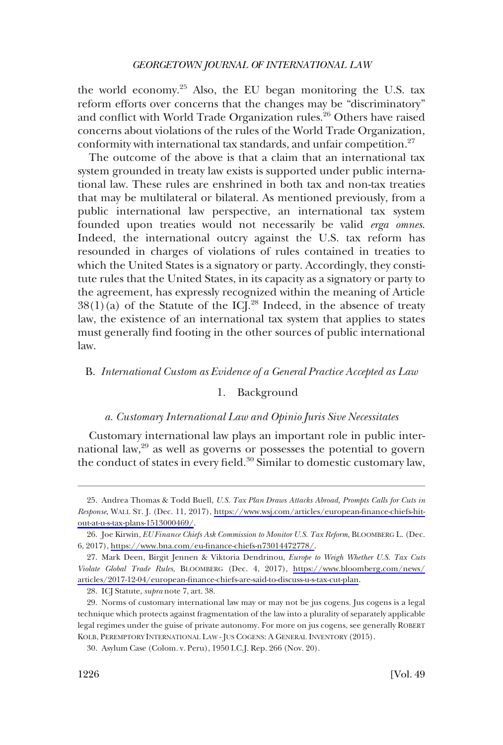<span id="page-7-0"></span>the world economy.<sup>25</sup> Also, the EU began monitoring the U.S. tax reform efforts over concerns that the changes may be "discriminatory" and conflict with World Trade Organization rules.<sup>26</sup> Others have raised concerns about violations of the rules of the World Trade Organization, conformity with international tax standards, and unfair competition.<sup>27</sup>

The outcome of the above is that a claim that an international tax system grounded in treaty law exists is supported under public international law. These rules are enshrined in both tax and non-tax treaties that may be multilateral or bilateral. As mentioned previously, from a public international law perspective, an international tax system founded upon treaties would not necessarily be valid *erga omnes*. Indeed, the international outcry against the U.S. tax reform has resounded in charges of violations of rules contained in treaties to which the United States is a signatory or party. Accordingly, they constitute rules that the United States, in its capacity as a signatory or party to the agreement, has expressly recognized within the meaning of Article  $38(1)(a)$  of the Statute of the ICL<sup>28</sup> Indeed, in the absence of treaty law, the existence of an international tax system that applies to states must generally find footing in the other sources of public international law.

#### B. *International Custom as Evidence of a General Practice Accepted as Law*

## 1. Background

#### *a. Customary International Law and Opinio Juris Sive Necessitates*

Customary international law plays an important role in public international law,<sup>29</sup> as well as governs or possesses the potential to govern the conduct of states in every field.<sup>30</sup> Similar to domestic customary law,

<sup>25.</sup> Andrea Thomas & Todd Buell, *U.S. Tax Plan Draws Attacks Abroad, Prompts Calls for Cuts in Response*, WALL ST. J. (Dec. 11, 2017), [https://www.wsj.com/articles/european-finance-chiefs-hit](https://www.wsj.com/articles/european-finance-chiefs-hit-out-at-u-s-tax-plans-1513000469/)[out-at-u-s-tax-plans-1513000469/](https://www.wsj.com/articles/european-finance-chiefs-hit-out-at-u-s-tax-plans-1513000469/).

<sup>26.</sup> Joe Kirwin, *EU Finance Chiefs Ask Commission to Monitor U.S. Tax Reform*, BLOOMBERG L. (Dec. 6, 2017), [https://www.bna.com/eu-finance-chiefs-n73014472778/.](https://www.bna.com/eu-finance-chiefs-n73014472778/)

Mark Deen, Birgit Jennen & Viktoria Dendrinou, *Europe to Weigh Whether U.S. Tax Cuts*  27. *Violate Global Trade Rules*, BLOOMBERG (Dec. 4, 2017), [https://www.bloomberg.com/news/](https://www.bloomberg.com/news/articles/2017-12-04/european-finance-chiefs-are-said-to-discuss-u-s-tax-cut-plan) [articles/2017-12-04/european-finance-chiefs-are-said-to-discuss-u-s-tax-cut-plan.](https://www.bloomberg.com/news/articles/2017-12-04/european-finance-chiefs-are-said-to-discuss-u-s-tax-cut-plan)

<sup>28.</sup> ICJ Statute, *supra* note 7, art. 38.

<sup>29.</sup> Norms of customary international law may or may not be jus cogens. Jus cogens is a legal technique which protects against fragmentation of the law into a plurality of separately applicable legal regimes under the guise of private autonomy. For more on jus cogens, see generally ROBERT KOLB, PEREMPTORY INTERNATIONAL LAW - JUS COGENS: A GENERAL INVENTORY (2015).

<sup>30.</sup> Asylum Case (Colom. v. Peru), 1950 I.C.J. Rep. 266 (Nov. 20).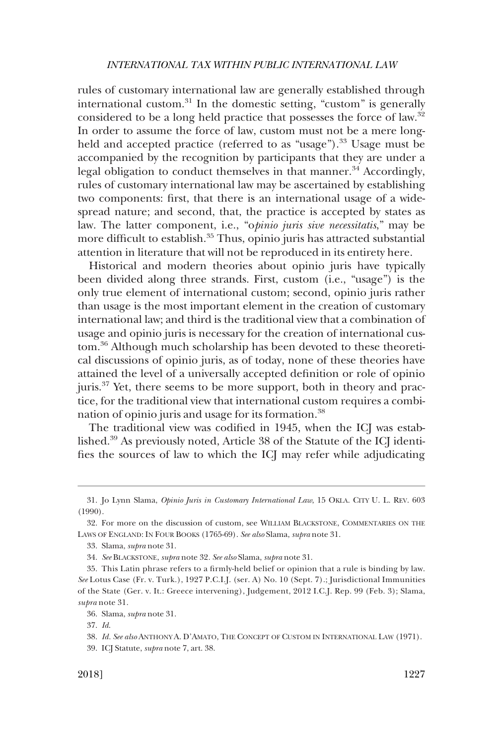rules of customary international law are generally established through international custom.<sup>31</sup> In the domestic setting, "custom" is generally considered to be a long held practice that possesses the force of law.32 In order to assume the force of law, custom must not be a mere longheld and accepted practice (referred to as "usage").<sup>33</sup> Usage must be accompanied by the recognition by participants that they are under a legal obligation to conduct themselves in that manner.<sup>34</sup> Accordingly, rules of customary international law may be ascertained by establishing two components: first, that there is an international usage of a widespread nature; and second, that, the practice is accepted by states as law. The latter component, i.e., "o*pinio juris sive necessitatis*," may be more difficult to establish.<sup>35</sup> Thus, opinio juris has attracted substantial attention in literature that will not be reproduced in its entirety here.

Historical and modern theories about opinio juris have typically been divided along three strands. First, custom (i.e., "usage") is the only true element of international custom; second, opinio juris rather than usage is the most important element in the creation of customary international law; and third is the traditional view that a combination of usage and opinio juris is necessary for the creation of international custom.36 Although much scholarship has been devoted to these theoretical discussions of opinio juris, as of today, none of these theories have attained the level of a universally accepted definition or role of opinio juris.<sup>37</sup> Yet, there seems to be more support, both in theory and practice, for the traditional view that international custom requires a combination of opinio juris and usage for its formation.<sup>38</sup>

The traditional view was codified in 1945, when the ICJ was established.39 As previously noted, Article 38 of the Statute of the ICJ identifies the sources of law to which the ICJ may refer while adjudicating

<sup>31.</sup> Jo Lynn Slama, *Opinio Juris in Customary International Law*, 15 OKLA. CITY U. L. REV. 603 (1990).

<sup>32.</sup> For more on the discussion of custom, see WILLIAM BLACKSTONE, COMMENTARIES ON THE LAWS OF ENGLAND: IN FOUR BOOKS (1765-69). *See also* Slama, *supra* note 31.

<sup>33.</sup> Slama, *supra* note 31.

<sup>34.</sup> *See* BLACKSTONE, *supra* note 32*. See also* Slama, *supra* note 31.

<sup>35.</sup> This Latin phrase refers to a firmly-held belief or opinion that a rule is binding by law. *See* Lotus Case (Fr. v. Turk.), 1927 P.C.I.J. (ser. A) No. 10 (Sept. 7).; Jurisdictional Immunities of the State (Ger. v. It.: Greece intervening), Judgement, 2012 I.C.J. Rep. 99 (Feb. 3); Slama, *supra* note 31.

<sup>36.</sup> Slama, *supra* note 31.

<sup>37.</sup> *Id*.

<sup>38.</sup> *Id. See also* ANTHONY A. D'AMATO, THE CONCEPT OF CUSTOM IN INTERNATIONAL LAW (1971).

<sup>39.</sup> ICJ Statute, *supra* note 7, art. 38.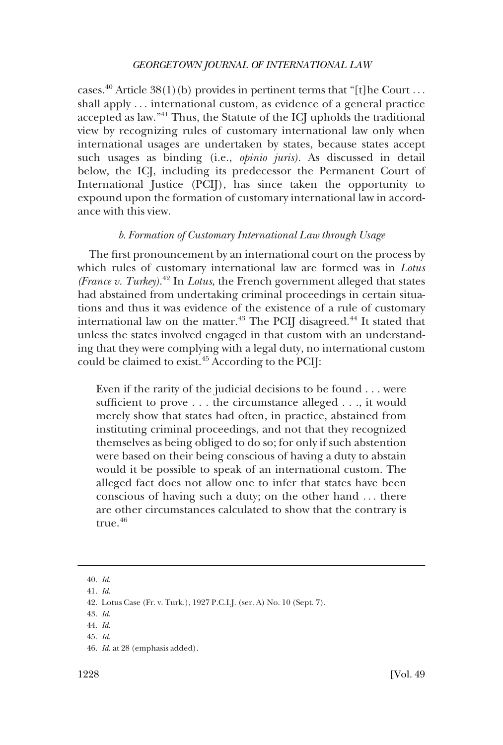<span id="page-9-0"></span>cases.<sup>40</sup> Article 38(1)(b) provides in pertinent terms that "[t]he Court ... shall apply . . . international custom, as evidence of a general practice accepted as law."<sup>41</sup> Thus, the Statute of the ICJ upholds the traditional view by recognizing rules of customary international law only when international usages are undertaken by states, because states accept such usages as binding (i.e., *opinio juris)*. As discussed in detail below, the ICJ, including its predecessor the Permanent Court of International Justice (PCIJ), has since taken the opportunity to expound upon the formation of customary international law in accordance with this view.

## *b. Formation of Customary International Law through Usage*

The first pronouncement by an international court on the process by which rules of customary international law are formed was in *Lotus (France v. Turkey)*. <sup>42</sup> In *Lotus*, the French government alleged that states had abstained from undertaking criminal proceedings in certain situations and thus it was evidence of the existence of a rule of customary international law on the matter.<sup>43</sup> The PCIJ disagreed.<sup>44</sup> It stated that unless the states involved engaged in that custom with an understanding that they were complying with a legal duty, no international custom could be claimed to exist.<sup>45</sup> According to the PCIJ:

Even if the rarity of the judicial decisions to be found . . . were sufficient to prove . . . the circumstance alleged . . ., it would merely show that states had often, in practice, abstained from instituting criminal proceedings, and not that they recognized themselves as being obliged to do so; for only if such abstention were based on their being conscious of having a duty to abstain would it be possible to speak of an international custom. The alleged fact does not allow one to infer that states have been conscious of having such a duty; on the other hand . . . there are other circumstances calculated to show that the contrary is true. $46$ 

<sup>40.</sup> *Id*.

<sup>41.</sup> *Id*.

<sup>42.</sup> Lotus Case (Fr. v. Turk.), 1927 P.C.I.J. (ser. A) No. 10 (Sept. 7).

<sup>43.</sup> *Id*.

<sup>44.</sup> *Id*.

<sup>45.</sup> *Id*.

<sup>46.</sup> *Id*. at 28 (emphasis added).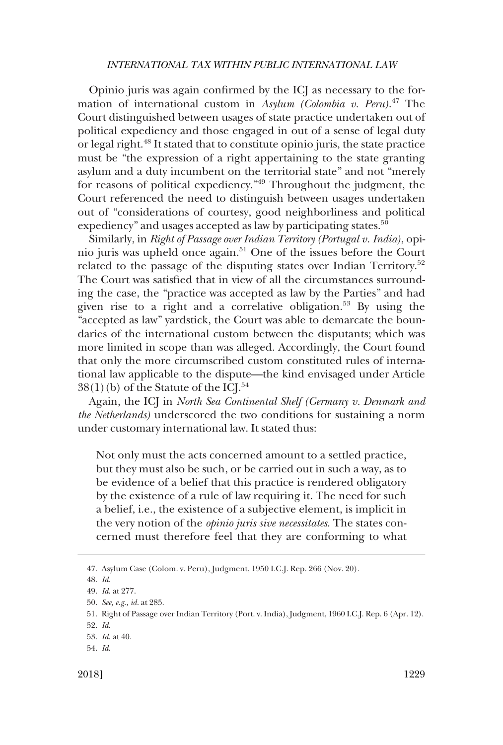Opinio juris was again confirmed by the ICJ as necessary to the formation of international custom in *Asylum (Colombia v. Peru)*. 47 The Court distinguished between usages of state practice undertaken out of political expediency and those engaged in out of a sense of legal duty or legal right.<sup>48</sup> It stated that to constitute opinio juris, the state practice must be "the expression of a right appertaining to the state granting asylum and a duty incumbent on the territorial state" and not "merely for reasons of political expediency."49 Throughout the judgment, the Court referenced the need to distinguish between usages undertaken out of "considerations of courtesy, good neighborliness and political expediency" and usages accepted as law by participating states.<sup>50</sup>

Similarly, in *Right of Passage over Indian Territory (Portugal v. India)*, opinio juris was upheld once again.51 One of the issues before the Court related to the passage of the disputing states over Indian Territory.<sup>52</sup> The Court was satisfied that in view of all the circumstances surrounding the case, the "practice was accepted as law by the Parties" and had given rise to a right and a correlative obligation.<sup>53</sup> By using the "accepted as law" yardstick, the Court was able to demarcate the boundaries of the international custom between the disputants; which was more limited in scope than was alleged. Accordingly, the Court found that only the more circumscribed custom constituted rules of international law applicable to the dispute––the kind envisaged under Article  $38(1)(b)$  of the Statute of the ICJ.<sup>54</sup>

Again, the ICJ in *North Sea Continental Shelf (Germany v. Denmark and the Netherlands)* underscored the two conditions for sustaining a norm under customary international law. It stated thus:

Not only must the acts concerned amount to a settled practice, but they must also be such, or be carried out in such a way, as to be evidence of a belief that this practice is rendered obligatory by the existence of a rule of law requiring it. The need for such a belief, i.e., the existence of a subjective element, is implicit in the very notion of the *opinio juris sive necessitates*. The states concerned must therefore feel that they are conforming to what

<sup>47.</sup> Asylum Case (Colom. v. Peru), Judgment, 1950 I.C.J. Rep. 266 (Nov. 20).

<sup>48.</sup> *Id*.

<sup>49.</sup> *Id*. at 277.

<sup>50.</sup> *See, e.g*.*, id*. at 285.

<sup>51.</sup> Right of Passage over Indian Territory (Port. v. India), Judgment, 1960 I.C.J. Rep. 6 (Apr. 12).

<sup>52.</sup> *Id*.

<sup>53.</sup> *Id*. at 40.

<sup>54.</sup> *Id*.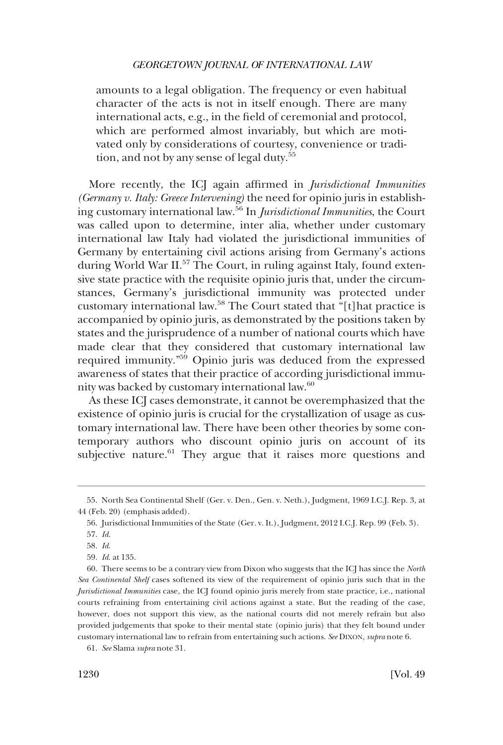amounts to a legal obligation. The frequency or even habitual character of the acts is not in itself enough. There are many international acts, e.g., in the field of ceremonial and protocol, which are performed almost invariably, but which are motivated only by considerations of courtesy, convenience or tradition, and not by any sense of legal duty.<sup>55</sup>

More recently, the ICJ again affirmed in *Jurisdictional Immunities (Germany v. Italy: Greece Intervening)* the need for opinio juris in establishing customary international law.56 In *Jurisdictional Immunities*, the Court was called upon to determine, inter alia, whether under customary international law Italy had violated the jurisdictional immunities of Germany by entertaining civil actions arising from Germany's actions during World War II.<sup>57</sup> The Court, in ruling against Italy, found extensive state practice with the requisite opinio juris that, under the circumstances, Germany's jurisdictional immunity was protected under customary international law.58 The Court stated that "[t]hat practice is accompanied by opinio juris, as demonstrated by the positions taken by states and the jurisprudence of a number of national courts which have made clear that they considered that customary international law required immunity."59 Opinio juris was deduced from the expressed awareness of states that their practice of according jurisdictional immunity was backed by customary international law.60

As these ICJ cases demonstrate, it cannot be overemphasized that the existence of opinio juris is crucial for the crystallization of usage as customary international law. There have been other theories by some contemporary authors who discount opinio juris on account of its subjective nature.<sup>61</sup> They argue that it raises more questions and

<sup>55.</sup> North Sea Continental Shelf (Ger. v. Den., Gen. v. Neth.), Judgment, 1969 I.C.J. Rep. 3, at 44 (Feb. 20) (emphasis added).

<sup>56.</sup> Jurisdictional Immunities of the State (Ger. v. It.), Judgment, 2012 I.C.J. Rep. 99 (Feb. 3).

<sup>57.</sup> *Id*.

<sup>58.</sup> *Id*.

<sup>59.</sup> *Id*. at 135.

<sup>60.</sup> There seems to be a contrary view from Dixon who suggests that the ICJ has since the *North Sea Continental Shelf* cases softened its view of the requirement of opinio juris such that in the *Jurisdictional Immunities* case, the ICJ found opinio juris merely from state practice, i.e., national courts refraining from entertaining civil actions against a state. But the reading of the case, however, does not support this view, as the national courts did not merely refrain but also provided judgements that spoke to their mental state (opinio juris) that they felt bound under customary international law to refrain from entertaining such actions. *See* DIXON, *supra* note 6.

<sup>61.</sup> *See* Slama *supra* note 31.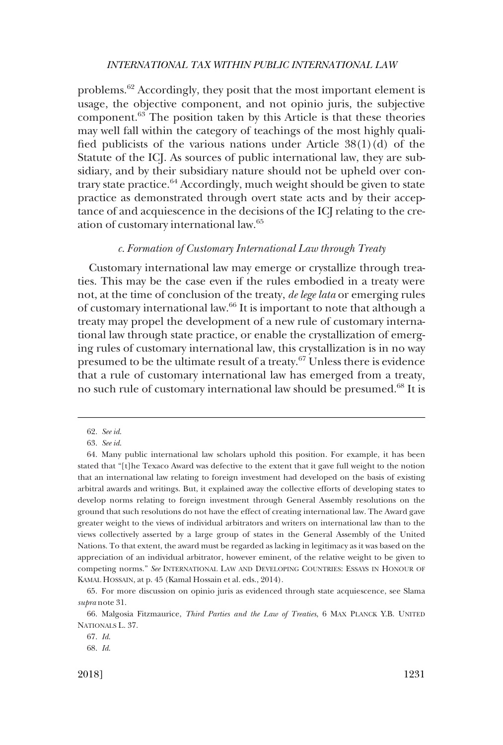<span id="page-12-0"></span>problems.62 Accordingly, they posit that the most important element is usage, the objective component, and not opinio juris, the subjective component.63 The position taken by this Article is that these theories may well fall within the category of teachings of the most highly qualified publicists of the various nations under Article  $38(1)(d)$  of the Statute of the ICJ. As sources of public international law, they are subsidiary, and by their subsidiary nature should not be upheld over contrary state practice.<sup>64</sup> Accordingly, much weight should be given to state practice as demonstrated through overt state acts and by their acceptance of and acquiescence in the decisions of the ICJ relating to the creation of customary international law.65

## *c. Formation of Customary International Law through Treaty*

Customary international law may emerge or crystallize through treaties. This may be the case even if the rules embodied in a treaty were not, at the time of conclusion of the treaty, *de lege lata* or emerging rules of customary international law.66 It is important to note that although a treaty may propel the development of a new rule of customary international law through state practice, or enable the crystallization of emerging rules of customary international law, this crystallization is in no way presumed to be the ultimate result of a treaty.67 Unless there is evidence that a rule of customary international law has emerged from a treaty, no such rule of customary international law should be presumed.<sup>68</sup> It is

<sup>62.</sup> *See id*.

<sup>63.</sup> *See id*.

<sup>64.</sup> Many public international law scholars uphold this position. For example, it has been stated that "[t]he Texaco Award was defective to the extent that it gave full weight to the notion that an international law relating to foreign investment had developed on the basis of existing arbitral awards and writings. But, it explained away the collective efforts of developing states to develop norms relating to foreign investment through General Assembly resolutions on the ground that such resolutions do not have the effect of creating international law. The Award gave greater weight to the views of individual arbitrators and writers on international law than to the views collectively asserted by a large group of states in the General Assembly of the United Nations. To that extent, the award must be regarded as lacking in legitimacy as it was based on the appreciation of an individual arbitrator, however eminent, of the relative weight to be given to competing norms." *See* INTERNATIONAL LAW AND DEVELOPING COUNTRIES: ESSAYS IN HONOUR OF KAMAL HOSSAIN, at p. 45 (Kamal Hossain et al. eds., 2014).

<sup>65.</sup> For more discussion on opinio juris as evidenced through state acquiescence, see Slama *supra* note 31.

<sup>66.</sup> Malgosia Fitzmaurice, *Third Parties and the Law of Treaties*, 6 MAX PLANCK Y.B. UNITED NATIONALS L. 37.

<sup>67.</sup> *Id*.

<sup>68.</sup> *Id*.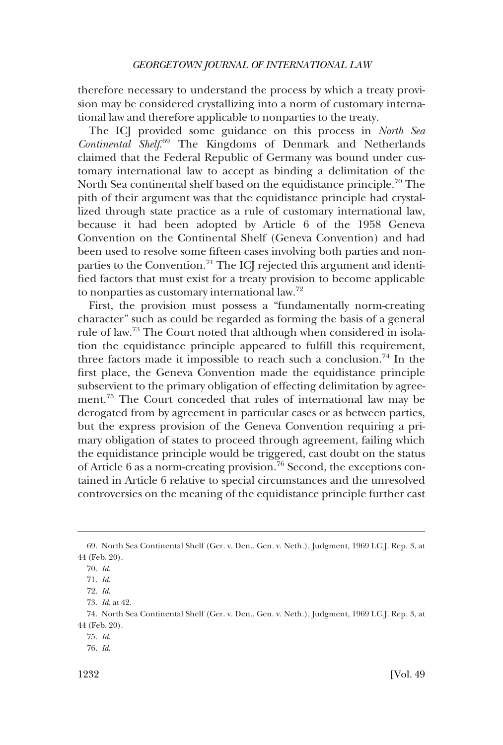therefore necessary to understand the process by which a treaty provision may be considered crystallizing into a norm of customary international law and therefore applicable to nonparties to the treaty.

The ICJ provided some guidance on this process in *North Sea Continental Shelf*. 69 The Kingdoms of Denmark and Netherlands claimed that the Federal Republic of Germany was bound under customary international law to accept as binding a delimitation of the North Sea continental shelf based on the equidistance principle.<sup>70</sup> The pith of their argument was that the equidistance principle had crystallized through state practice as a rule of customary international law, because it had been adopted by Article 6 of the 1958 Geneva Convention on the Continental Shelf (Geneva Convention) and had been used to resolve some fifteen cases involving both parties and nonparties to the Convention.<sup>71</sup> The ICJ rejected this argument and identified factors that must exist for a treaty provision to become applicable to nonparties as customary international law.72

First, the provision must possess a "fundamentally norm-creating character" such as could be regarded as forming the basis of a general rule of law.73 The Court noted that although when considered in isolation the equidistance principle appeared to fulfill this requirement, three factors made it impossible to reach such a conclusion.<sup>74</sup> In the first place, the Geneva Convention made the equidistance principle subservient to the primary obligation of effecting delimitation by agreement.75 The Court conceded that rules of international law may be derogated from by agreement in particular cases or as between parties, but the express provision of the Geneva Convention requiring a primary obligation of states to proceed through agreement, failing which the equidistance principle would be triggered, cast doubt on the status of Article 6 as a norm-creating provision.<sup>76</sup> Second, the exceptions contained in Article 6 relative to special circumstances and the unresolved controversies on the meaning of the equidistance principle further cast

<sup>69.</sup> North Sea Continental Shelf (Ger. v. Den., Gen. v. Neth.), Judgment, 1969 I.C.J. Rep. 3, at 44 (Feb. 20).

<sup>70.</sup> *Id*.

<sup>71.</sup> *Id*.

<sup>72.</sup> *Id*.

<sup>73.</sup> *Id*. at 42.

<sup>74.</sup> North Sea Continental Shelf (Ger. v. Den., Gen. v. Neth.), Judgment, 1969 I.C.J. Rep. 3, at 44 (Feb. 20).

<sup>75.</sup> *Id*.

<sup>76.</sup> *Id*.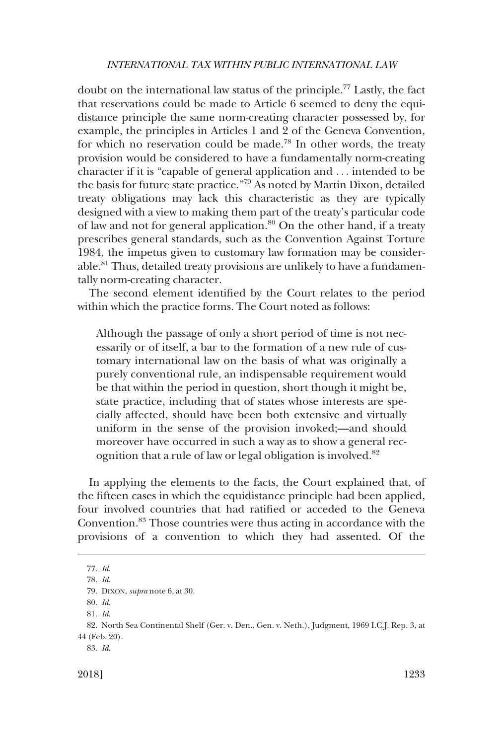doubt on the international law status of the principle.77 Lastly, the fact that reservations could be made to Article 6 seemed to deny the equidistance principle the same norm-creating character possessed by, for example, the principles in Articles 1 and 2 of the Geneva Convention, for which no reservation could be made.<sup>78</sup> In other words, the treaty provision would be considered to have a fundamentally norm-creating character if it is "capable of general application and . . . intended to be the basis for future state practice."79 As noted by Martin Dixon, detailed treaty obligations may lack this characteristic as they are typically designed with a view to making them part of the treaty's particular code of law and not for general application.<sup>80</sup> On the other hand, if a treaty prescribes general standards, such as the Convention Against Torture 1984, the impetus given to customary law formation may be considerable.<sup>81</sup> Thus, detailed treaty provisions are unlikely to have a fundamentally norm-creating character.

The second element identified by the Court relates to the period within which the practice forms. The Court noted as follows:

Although the passage of only a short period of time is not necessarily or of itself, a bar to the formation of a new rule of customary international law on the basis of what was originally a purely conventional rule, an indispensable requirement would be that within the period in question, short though it might be, state practice, including that of states whose interests are specially affected, should have been both extensive and virtually uniform in the sense of the provision invoked;**—**and should moreover have occurred in such a way as to show a general recognition that a rule of law or legal obligation is involved.<sup>82</sup>

In applying the elements to the facts, the Court explained that, of the fifteen cases in which the equidistance principle had been applied, four involved countries that had ratified or acceded to the Geneva Convention.83 Those countries were thus acting in accordance with the provisions of a convention to which they had assented. Of the

<sup>77.</sup> *Id*.

<sup>78.</sup> *Id*.

<sup>79.</sup> DIXON, *supra* note 6, at 30.

<sup>80.</sup> *Id*.

<sup>81.</sup> *Id*.

<sup>82.</sup> North Sea Continental Shelf (Ger. v. Den., Gen. v. Neth.), Judgment, 1969 I.C.J. Rep. 3, at 44 (Feb. 20).

<sup>83.</sup> *Id*.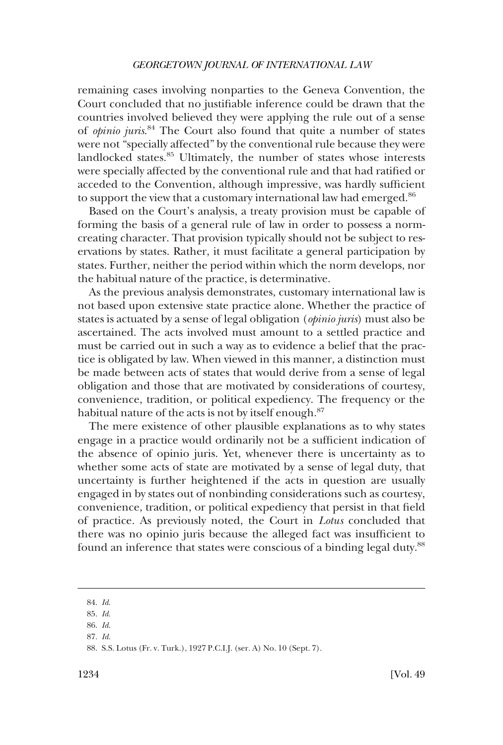remaining cases involving nonparties to the Geneva Convention, the Court concluded that no justifiable inference could be drawn that the countries involved believed they were applying the rule out of a sense of *opinio juris*. <sup>84</sup> The Court also found that quite a number of states were not "specially affected" by the conventional rule because they were landlocked states.<sup>85</sup> Ultimately, the number of states whose interests were specially affected by the conventional rule and that had ratified or acceded to the Convention, although impressive, was hardly sufficient to support the view that a customary international law had emerged.<sup>86</sup>

Based on the Court's analysis, a treaty provision must be capable of forming the basis of a general rule of law in order to possess a normcreating character. That provision typically should not be subject to reservations by states. Rather, it must facilitate a general participation by states. Further, neither the period within which the norm develops, nor the habitual nature of the practice, is determinative.

As the previous analysis demonstrates, customary international law is not based upon extensive state practice alone. Whether the practice of states is actuated by a sense of legal obligation (*opinio juris*) must also be ascertained. The acts involved must amount to a settled practice and must be carried out in such a way as to evidence a belief that the practice is obligated by law. When viewed in this manner, a distinction must be made between acts of states that would derive from a sense of legal obligation and those that are motivated by considerations of courtesy, convenience, tradition, or political expediency. The frequency or the habitual nature of the acts is not by itself enough.<sup>87</sup>

The mere existence of other plausible explanations as to why states engage in a practice would ordinarily not be a sufficient indication of the absence of opinio juris. Yet, whenever there is uncertainty as to whether some acts of state are motivated by a sense of legal duty, that uncertainty is further heightened if the acts in question are usually engaged in by states out of nonbinding considerations such as courtesy, convenience, tradition, or political expediency that persist in that field of practice. As previously noted, the Court in *Lotus* concluded that there was no opinio juris because the alleged fact was insufficient to found an inference that states were conscious of a binding legal duty.<sup>88</sup>

87. *Id*.

<sup>84.</sup> *Id*.

<sup>85.</sup> *Id*.

<sup>86.</sup> *Id*.

<sup>88.</sup> S.S. Lotus (Fr. v. Turk.), 1927 P.C.I.J. (ser. A) No. 10 (Sept. 7).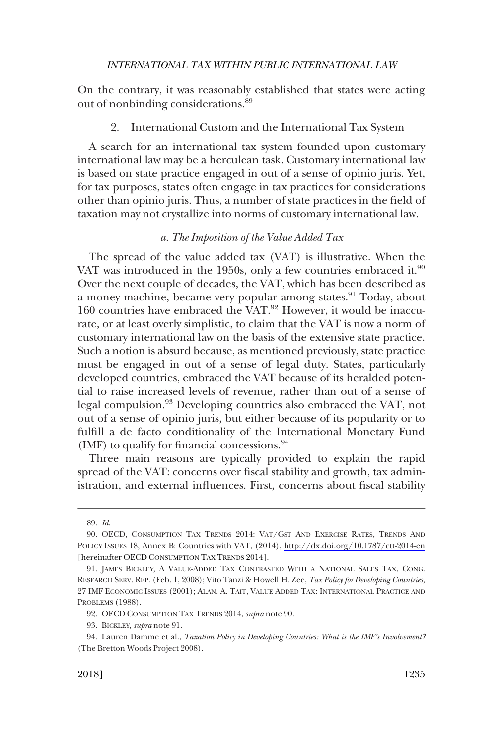<span id="page-16-0"></span>On the contrary, it was reasonably established that states were acting out of nonbinding considerations.89

#### 2. International Custom and the International Tax System

A search for an international tax system founded upon customary international law may be a herculean task. Customary international law is based on state practice engaged in out of a sense of opinio juris. Yet, for tax purposes, states often engage in tax practices for considerations other than opinio juris. Thus, a number of state practices in the field of taxation may not crystallize into norms of customary international law.

## *a. The Imposition of the Value Added Tax*

The spread of the value added tax (VAT) is illustrative. When the VAT was introduced in the 1950s, only a few countries embraced it. $90$ Over the next couple of decades, the VAT, which has been described as a money machine, became very popular among states.<sup>91</sup> Today, about 160 countries have embraced the VAT.<sup>92</sup> However, it would be inaccurate, or at least overly simplistic, to claim that the VAT is now a norm of customary international law on the basis of the extensive state practice. Such a notion is absurd because, as mentioned previously, state practice must be engaged in out of a sense of legal duty. States, particularly developed countries, embraced the VAT because of its heralded potential to raise increased levels of revenue, rather than out of a sense of legal compulsion.<sup>93</sup> Developing countries also embraced the VAT, not out of a sense of opinio juris, but either because of its popularity or to fulfill a de facto conditionality of the International Monetary Fund (IMF) to qualify for financial concessions.  $94$ 

Three main reasons are typically provided to explain the rapid spread of the VAT: concerns over fiscal stability and growth, tax administration, and external influences. First, concerns about fiscal stability

<sup>89.</sup> *Id*.

<sup>90.</sup> OECD, CONSUMPTION TAX TRENDS 2014: VAT/GST AND EXERCISE RATES, TRENDS AND POLICY ISSUES 18, Annex B: Countries with VAT, (2014), <http://dx.doi.org/10.1787/ctt-2014-en> [hereinafter OECD CONSUMPTION TAX TRENDS 2014].

<sup>91.</sup> JAMES BICKLEY, A VALUE-ADDED TAX CONTRASTED WITH A NATIONAL SALES TAX, CONG. RESEARCH SERV. REP. (Feb. 1, 2008); Vito Tanzi & Howell H. Zee, *Tax Policy for Developing Countries*, 27 IMF ECONOMIC ISSUES (2001); ALAN. A. TAIT, VALUE ADDED TAX: INTERNATIONAL PRACTICE AND PROBLEMS (1988).

<sup>92.</sup> OECD CONSUMPTION TAX TRENDS 2014, *supra* note 90.

<sup>93.</sup> BICKLEY, *supra* note 91.

<sup>94.</sup> Lauren Damme et al., *Taxation Policy in Developing Countries: What is the IMF's Involvement?*  (The Bretton Woods Project 2008).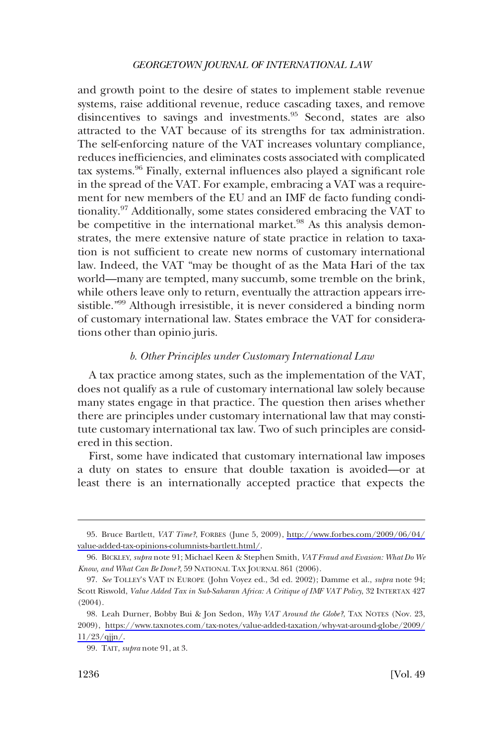<span id="page-17-0"></span>and growth point to the desire of states to implement stable revenue systems, raise additional revenue, reduce cascading taxes, and remove disincentives to savings and investments.<sup>95</sup> Second, states are also attracted to the VAT because of its strengths for tax administration. The self-enforcing nature of the VAT increases voluntary compliance, reduces inefficiencies, and eliminates costs associated with complicated tax systems.96 Finally, external influences also played a significant role in the spread of the VAT. For example, embracing a VAT was a requirement for new members of the EU and an IMF de facto funding conditionality.97 Additionally, some states considered embracing the VAT to be competitive in the international market.<sup>98</sup> As this analysis demonstrates, the mere extensive nature of state practice in relation to taxation is not sufficient to create new norms of customary international law. Indeed, the VAT "may be thought of as the Mata Hari of the tax world—many are tempted, many succumb, some tremble on the brink, while others leave only to return, eventually the attraction appears irresistible."99 Although irresistible, it is never considered a binding norm of customary international law. States embrace the VAT for considerations other than opinio juris.

## *b. Other Principles under Customary International Law*

A tax practice among states, such as the implementation of the VAT, does not qualify as a rule of customary international law solely because many states engage in that practice. The question then arises whether there are principles under customary international law that may constitute customary international tax law. Two of such principles are considered in this section.

First, some have indicated that customary international law imposes a duty on states to ensure that double taxation is avoided—or at least there is an internationally accepted practice that expects the

Bruce Bartlett, *VAT Time?*, FORBES (June 5, 2009), [http://www.forbes.com/2009/06/04/](http://www.forbes.com/2009/06/04/value-added-tax-opinions-columnists-bartlett.html/) 95. [value-added-tax-opinions-columnists-bartlett.html/.](http://www.forbes.com/2009/06/04/value-added-tax-opinions-columnists-bartlett.html/)

<sup>96.</sup> BICKLEY, *supra* note 91; Michael Keen & Stephen Smith, *VAT Fraud and Evasion: What Do We Know, and What Can Be Done?*, 59 NATIONAL TAX JOURNAL 861 (2006).

<sup>97.</sup> *See* TOLLEY'S VAT IN EUROPE (John Voyez ed., 3d ed. 2002); Damme et al., *supra* note 94; Scott Riswold, *Value Added Tax in Sub-Saharan Africa: A Critique of IMF VAT Policy*, 32 INTERTAX 427 (2004).

<sup>98.</sup> Leah Durner, Bobby Bui & Jon Sedon, *Why VAT Around the Globe?*, TAX NOTES (Nov. 23, 2009), [https://www.taxnotes.com/tax-notes/value-added-taxation/why-vat-around-globe/2009/](https://www.taxnotes.com/tax-notes/value-added-taxation/why-vat-around-globe/2009/11/23/qjjn/) [11/23/qjjn/](https://www.taxnotes.com/tax-notes/value-added-taxation/why-vat-around-globe/2009/11/23/qjjn/).

<sup>99.</sup> TAIT, *supra* note 91, at 3.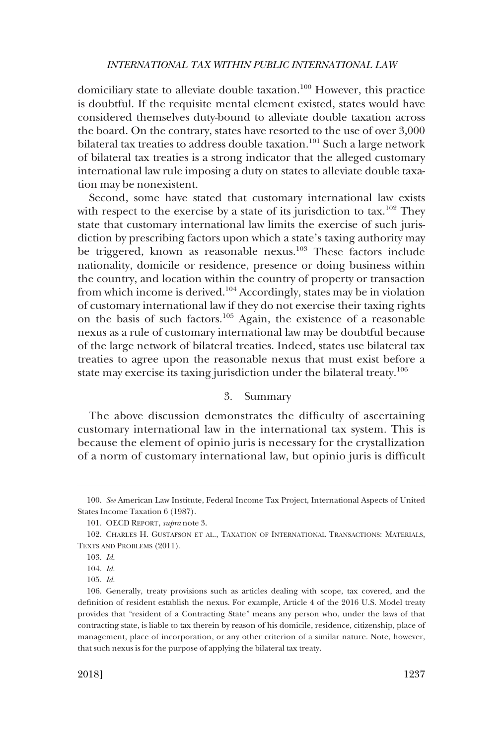<span id="page-18-0"></span>domiciliary state to alleviate double taxation.100 However, this practice is doubtful. If the requisite mental element existed, states would have considered themselves duty-bound to alleviate double taxation across the board. On the contrary, states have resorted to the use of over 3,000 bilateral tax treaties to address double taxation.<sup>101</sup> Such a large network of bilateral tax treaties is a strong indicator that the alleged customary international law rule imposing a duty on states to alleviate double taxation may be nonexistent.

Second, some have stated that customary international law exists with respect to the exercise by a state of its jurisdiction to tax.<sup>102</sup> They state that customary international law limits the exercise of such jurisdiction by prescribing factors upon which a state's taxing authority may be triggered, known as reasonable nexus.<sup>103</sup> These factors include nationality, domicile or residence, presence or doing business within the country, and location within the country of property or transaction from which income is derived.<sup>104</sup> Accordingly, states may be in violation of customary international law if they do not exercise their taxing rights on the basis of such factors.105 Again, the existence of a reasonable nexus as a rule of customary international law may be doubtful because of the large network of bilateral treaties. Indeed, states use bilateral tax treaties to agree upon the reasonable nexus that must exist before a state may exercise its taxing jurisdiction under the bilateral treaty.<sup>106</sup>

## 3. Summary

The above discussion demonstrates the difficulty of ascertaining customary international law in the international tax system. This is because the element of opinio juris is necessary for the crystallization of a norm of customary international law, but opinio juris is difficult

<sup>100.</sup> *See* American Law Institute, Federal Income Tax Project, International Aspects of United States Income Taxation 6 (1987).

<sup>101.</sup> OECD REPORT, *supra* note 3.

<sup>102.</sup> CHARLES H. GUSTAFSON ET AL., TAXATION OF INTERNATIONAL TRANSACTIONS: MATERIALS, TEXTS AND PROBLEMS (2011).

<sup>103.</sup> *Id*.

<sup>104.</sup> *Id*.

<sup>105.</sup> *Id*.

<sup>106.</sup> Generally, treaty provisions such as articles dealing with scope, tax covered, and the definition of resident establish the nexus. For example, Article 4 of the 2016 U.S. Model treaty provides that "resident of a Contracting State" means any person who, under the laws of that contracting state, is liable to tax therein by reason of his domicile, residence, citizenship, place of management, place of incorporation, or any other criterion of a similar nature. Note, however, that such nexus is for the purpose of applying the bilateral tax treaty.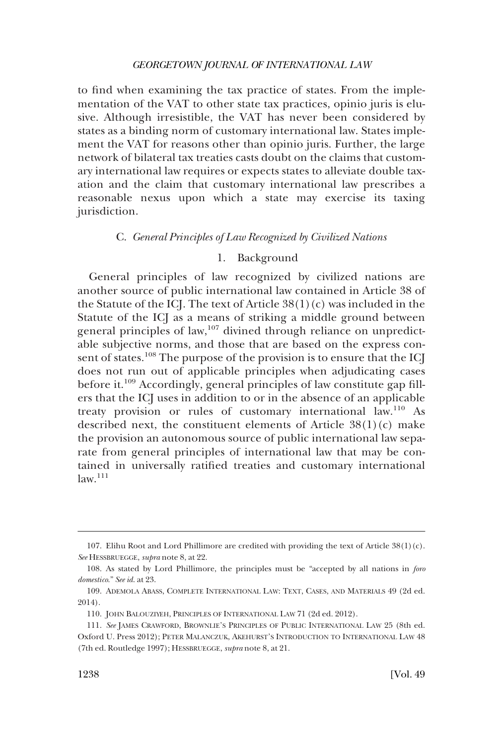<span id="page-19-0"></span>to find when examining the tax practice of states. From the implementation of the VAT to other state tax practices, opinio juris is elusive. Although irresistible, the VAT has never been considered by states as a binding norm of customary international law. States implement the VAT for reasons other than opinio juris. Further, the large network of bilateral tax treaties casts doubt on the claims that customary international law requires or expects states to alleviate double taxation and the claim that customary international law prescribes a reasonable nexus upon which a state may exercise its taxing jurisdiction.

## C. *General Principles of Law Recognized by Civilized Nations*

## 1. Background

General principles of law recognized by civilized nations are another source of public international law contained in Article 38 of the Statute of the ICJ. The text of Article  $38(1)(c)$  was included in the Statute of the ICJ as a means of striking a middle ground between general principles of law, $107$  divined through reliance on unpredictable subjective norms, and those that are based on the express consent of states.<sup>108</sup> The purpose of the provision is to ensure that the ICJ does not run out of applicable principles when adjudicating cases before it.<sup>109</sup> Accordingly, general principles of law constitute gap fillers that the ICJ uses in addition to or in the absence of an applicable treaty provision or rules of customary international law.110 As described next, the constituent elements of Article  $38(1)(c)$  make the provision an autonomous source of public international law separate from general principles of international law that may be contained in universally ratified treaties and customary international  $law.<sup>111</sup>$ 

<sup>107.</sup> Elihu Root and Lord Phillimore are credited with providing the text of Article 38(1)(c). *See* HESSBRUEGGE, *supra* note 8, at 22.

<sup>108.</sup> As stated by Lord Phillimore, the principles must be "accepted by all nations in *foro domestico*." *See id*. at 23.

<sup>109.</sup> ADEMOLA ABASS, COMPLETE INTERNATIONAL LAW: TEXT, CASES, AND MATERIALS 49 (2d ed. 2014).

<sup>110.</sup> JOHN BALOUZIYEH, PRINCIPLES OF INTERNATIONAL LAW 71 (2d ed. 2012).

<sup>111.</sup> *See* JAMES CRAWFORD, BROWNLIE'S PRINCIPLES OF PUBLIC INTERNATIONAL LAW 25 (8th ed. Oxford U. Press 2012); PETER MALANCZUK, AKEHURST'S INTRODUCTION TO INTERNATIONAL LAW 48 (7th ed. Routledge 1997); HESSBRUEGGE, *supra* note 8, at 21.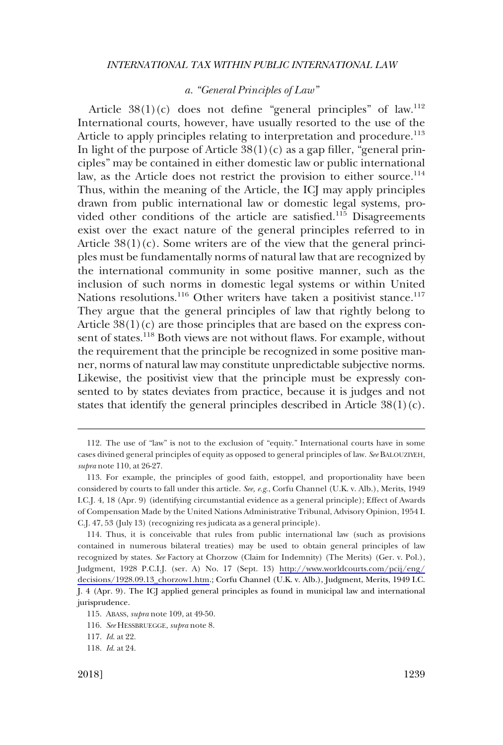## *a. "General Principles of Law"*

<span id="page-20-0"></span>Article  $38(1)(c)$  does not define "general principles" of law.<sup>112</sup> International courts, however, have usually resorted to the use of the Article to apply principles relating to interpretation and procedure.<sup>113</sup> In light of the purpose of Article  $38(1)(c)$  as a gap filler, "general principles" may be contained in either domestic law or public international law, as the Article does not restrict the provision to either source.<sup>114</sup> Thus, within the meaning of the Article, the ICJ may apply principles drawn from public international law or domestic legal systems, provided other conditions of the article are satisfied.<sup>115</sup> Disagreements exist over the exact nature of the general principles referred to in Article  $38(1)(c)$ . Some writers are of the view that the general principles must be fundamentally norms of natural law that are recognized by the international community in some positive manner, such as the inclusion of such norms in domestic legal systems or within United Nations resolutions.<sup>116</sup> Other writers have taken a positivist stance.<sup>117</sup> They argue that the general principles of law that rightly belong to Article  $38(1)(c)$  are those principles that are based on the express consent of states.<sup>118</sup> Both views are not without flaws. For example, without the requirement that the principle be recognized in some positive manner, norms of natural law may constitute unpredictable subjective norms. Likewise, the positivist view that the principle must be expressly consented to by states deviates from practice, because it is judges and not states that identify the general principles described in Article  $38(1)(c)$ .

<sup>112.</sup> The use of "law" is not to the exclusion of "equity." International courts have in some cases divined general principles of equity as opposed to general principles of law. *See* BALOUZIYEH, *supra* note 110, at 26-27.

<sup>113.</sup> For example, the principles of good faith, estoppel, and proportionality have been considered by courts to fall under this article. *See, e.g*., Corfu Channel (U.K. v. Alb.), Merits, 1949 I.C.J. 4, 18 (Apr. 9) (identifying circumstantial evidence as a general principle); Effect of Awards of Compensation Made by the United Nations Administrative Tribunal, Advisory Opinion, 1954 I. C.J. 47, 53 (July 13) (recognizing res judicata as a general principle).

<sup>114.</sup> Thus, it is conceivable that rules from public international law (such as provisions contained in numerous bilateral treaties) may be used to obtain general principles of law recognized by states. *See* Factory at Chorzow (Claim for Indemnity) (The Merits) (Ger. v. Pol.), Judgment, 1928 P.C.I.J. (ser. A) No. 17 (Sept. 13) [http://www.worldcourts.com/pcij/eng/](http://www.worldcourts.com/pcij/eng/decisions/1928.09.13_chorzow1.htm) [decisions/1928.09.13\\_chorzow1.htm](http://www.worldcourts.com/pcij/eng/decisions/1928.09.13_chorzow1.htm).; Corfu Channel (U.K. v. Alb.), Judgment, Merits, 1949 I.C. J. 4 (Apr. 9). The ICJ applied general principles as found in municipal law and international jurisprudence.

<sup>115.</sup> ABASS, *supra* note 109, at 49-50.

<sup>116.</sup> *See* HESSBRUEGGE, *supra* note 8.

<sup>117.</sup> *Id*. at 22.

<sup>118.</sup> *Id*. at 24.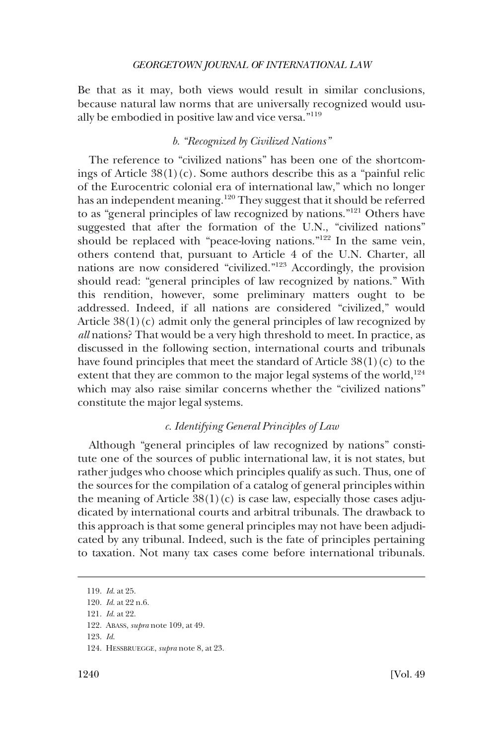<span id="page-21-0"></span>Be that as it may, both views would result in similar conclusions, because natural law norms that are universally recognized would usually be embodied in positive law and vice versa."<sup>119</sup>

## *b. "Recognized by Civilized Nations"*

The reference to "civilized nations" has been one of the shortcomings of Article  $38(1)(c)$ . Some authors describe this as a "painful relic of the Eurocentric colonial era of international law," which no longer has an independent meaning.<sup>120</sup> They suggest that it should be referred to as "general principles of law recognized by nations."121 Others have suggested that after the formation of the U.N., "civilized nations" should be replaced with "peace-loving nations."<sup>122</sup> In the same vein, others contend that, pursuant to Article 4 of the U.N. Charter, all nations are now considered "civilized."123 Accordingly, the provision should read: "general principles of law recognized by nations." With this rendition, however, some preliminary matters ought to be addressed. Indeed, if all nations are considered "civilized," would Article  $38(1)(c)$  admit only the general principles of law recognized by *all* nations? That would be a very high threshold to meet. In practice, as discussed in the following section, international courts and tribunals have found principles that meet the standard of Article  $38(1)(c)$  to the extent that they are common to the major legal systems of the world,  $124$ which may also raise similar concerns whether the "civilized nations" constitute the major legal systems.

## *c. Identifying General Principles of Law*

Although "general principles of law recognized by nations" constitute one of the sources of public international law, it is not states, but rather judges who choose which principles qualify as such. Thus, one of the sources for the compilation of a catalog of general principles within the meaning of Article  $38(1)(c)$  is case law, especially those cases adjudicated by international courts and arbitral tribunals. The drawback to this approach is that some general principles may not have been adjudicated by any tribunal. Indeed, such is the fate of principles pertaining to taxation. Not many tax cases come before international tribunals.

<sup>119.</sup> *Id*. at 25.

<sup>120.</sup> *Id*. at 22 n.6.

<sup>121.</sup> *Id*. at 22.

<sup>122.</sup> ABASS, *supra* note 109, at 49.

<sup>123.</sup> *Id*.

<sup>124.</sup> HESSBRUEGGE, *supra* note 8, at 23.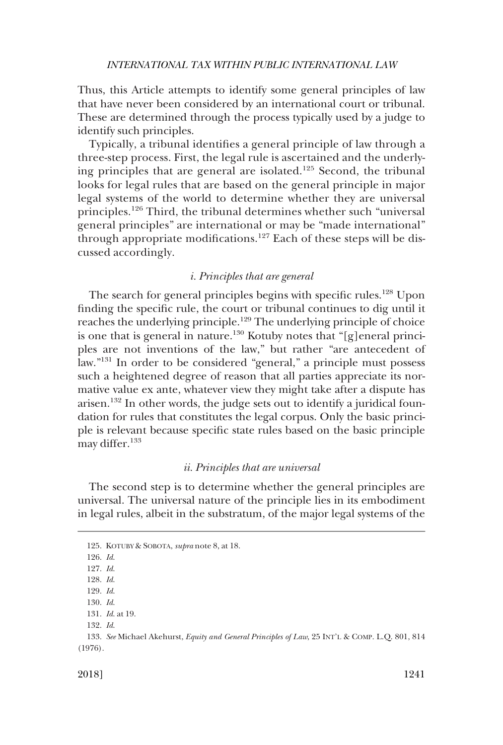<span id="page-22-0"></span>Thus, this Article attempts to identify some general principles of law that have never been considered by an international court or tribunal. These are determined through the process typically used by a judge to identify such principles.

Typically, a tribunal identifies a general principle of law through a three-step process. First, the legal rule is ascertained and the underlying principles that are general are isolated.<sup>125</sup> Second, the tribunal looks for legal rules that are based on the general principle in major legal systems of the world to determine whether they are universal principles.<sup>126</sup> Third, the tribunal determines whether such "universal general principles" are international or may be "made international" through appropriate modifications.<sup>127</sup> Each of these steps will be discussed accordingly.

#### *i. Principles that are general*

The search for general principles begins with specific rules.<sup>128</sup> Upon finding the specific rule, the court or tribunal continues to dig until it reaches the underlying principle.129 The underlying principle of choice is one that is general in nature.<sup>130</sup> Kotuby notes that "[g]eneral principles are not inventions of the law," but rather "are antecedent of law."131 In order to be considered "general," a principle must possess such a heightened degree of reason that all parties appreciate its normative value ex ante, whatever view they might take after a dispute has arisen.132 In other words, the judge sets out to identify a juridical foundation for rules that constitutes the legal corpus. Only the basic principle is relevant because specific state rules based on the basic principle may differ.<sup>133</sup>

## *ii. Principles that are universal*

The second step is to determine whether the general principles are universal. The universal nature of the principle lies in its embodiment in legal rules, albeit in the substratum, of the major legal systems of the

132. *Id*.

<sup>125.</sup> KOTUBY & SOBOTA, *supra* note 8, at 18.

<sup>126.</sup> *Id*.

<sup>127.</sup> *Id*.

<sup>128.</sup> *Id*.

<sup>129.</sup> *Id*.

<sup>130.</sup> *Id*. 131. *Id*. at 19.

<sup>133.</sup> *See* Michael Akehurst, *Equity and General Principles of Law*, 25 INT'L & COMP. L.Q. 801, 814 (1976).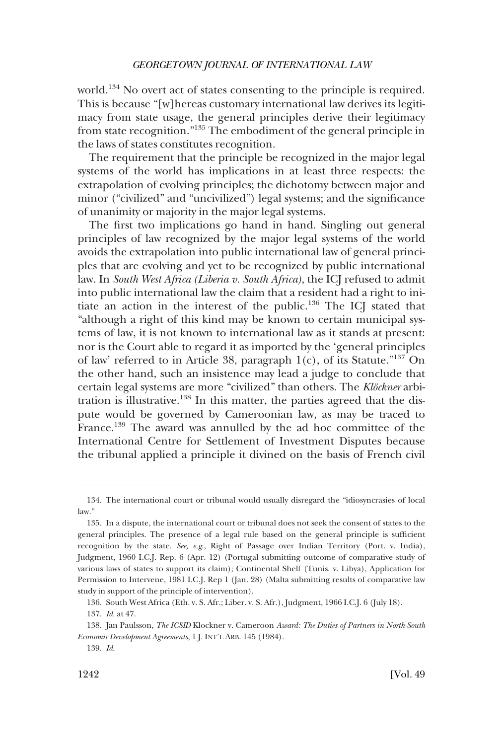world.134 No overt act of states consenting to the principle is required. This is because "[w]hereas customary international law derives its legitimacy from state usage, the general principles derive their legitimacy from state recognition."135 The embodiment of the general principle in the laws of states constitutes recognition.

The requirement that the principle be recognized in the major legal systems of the world has implications in at least three respects: the extrapolation of evolving principles; the dichotomy between major and minor ("civilized" and "uncivilized") legal systems; and the significance of unanimity or majority in the major legal systems.

The first two implications go hand in hand. Singling out general principles of law recognized by the major legal systems of the world avoids the extrapolation into public international law of general principles that are evolving and yet to be recognized by public international law. In *South West Africa (Liberia v. South Africa)*, the ICJ refused to admit into public international law the claim that a resident had a right to initiate an action in the interest of the public.136 The ICJ stated that "although a right of this kind may be known to certain municipal systems of law, it is not known to international law as it stands at present: nor is the Court able to regard it as imported by the 'general principles of law' referred to in Article 38, paragraph  $1(c)$ , of its Statute."<sup>137</sup> On the other hand, such an insistence may lead a judge to conclude that certain legal systems are more "civilized" than others. The *Klöckner* arbitration is illustrative.<sup>138</sup> In this matter, the parties agreed that the dispute would be governed by Cameroonian law, as may be traced to France.<sup>139</sup> The award was annulled by the ad hoc committee of the International Centre for Settlement of Investment Disputes because the tribunal applied a principle it divined on the basis of French civil

<sup>134.</sup> The international court or tribunal would usually disregard the "idiosyncrasies of local law."

<sup>135.</sup> In a dispute, the international court or tribunal does not seek the consent of states to the general principles. The presence of a legal rule based on the general principle is sufficient recognition by the state. *See, e.g*., Right of Passage over Indian Territory (Port. v. India), Judgment, 1960 I.C.J. Rep. 6 (Apr. 12) (Portugal submitting outcome of comparative study of various laws of states to support its claim); Continental Shelf (Tunis. v. Libya), Application for Permission to Intervene, 1981 I.C.J. Rep 1 (Jan. 28) (Malta submitting results of comparative law study in support of the principle of intervention).

<sup>136.</sup> South West Africa (Eth. v. S. Afr.; Liber. v. S. Afr.), Judgment, 1966 I.C.J. 6 (July 18).

<sup>137.</sup> *Id*. at 47.

<sup>138.</sup> Jan Paulsson, *The ICSID* Klockner v. Cameroon *Award: The Duties of Partners in North-South Economic Development Agreements*, 1 J. INT'L ARB. 145 (1984).

<sup>139.</sup> *Id*.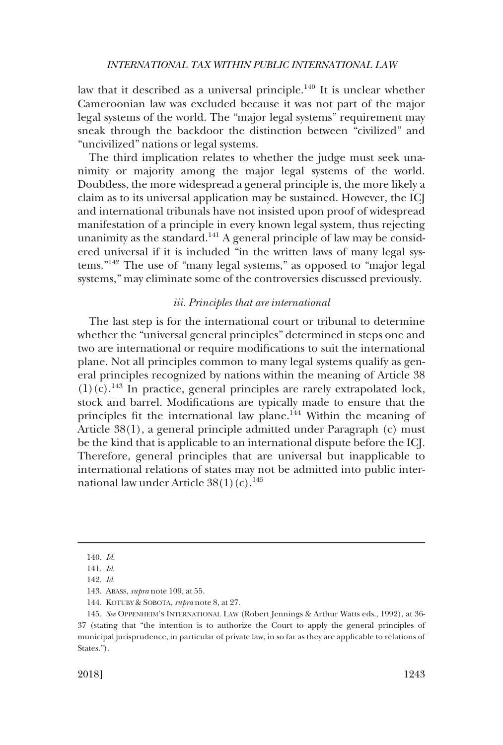<span id="page-24-0"></span>law that it described as a universal principle.<sup>140</sup> It is unclear whether Cameroonian law was excluded because it was not part of the major legal systems of the world. The "major legal systems" requirement may sneak through the backdoor the distinction between "civilized" and "uncivilized" nations or legal systems.

The third implication relates to whether the judge must seek unanimity or majority among the major legal systems of the world. Doubtless, the more widespread a general principle is, the more likely a claim as to its universal application may be sustained. However, the ICJ and international tribunals have not insisted upon proof of widespread manifestation of a principle in every known legal system, thus rejecting unanimity as the standard.<sup>141</sup> A general principle of law may be considered universal if it is included "in the written laws of many legal systems."142 The use of "many legal systems," as opposed to "major legal systems," may eliminate some of the controversies discussed previously.

#### *iii. Principles that are international*

The last step is for the international court or tribunal to determine whether the "universal general principles" determined in steps one and two are international or require modifications to suit the international plane. Not all principles common to many legal systems qualify as general principles recognized by nations within the meaning of Article 38  $(1)(c).$ <sup>143</sup> In practice, general principles are rarely extrapolated lock, stock and barrel. Modifications are typically made to ensure that the principles fit the international law plane.<sup>144</sup> Within the meaning of Article 38(1), a general principle admitted under Paragraph (c) must be the kind that is applicable to an international dispute before the ICJ. Therefore, general principles that are universal but inapplicable to international relations of states may not be admitted into public international law under Article  $38(1)(c)$ .<sup>145</sup>

<sup>140.</sup> *Id*.

<sup>141.</sup> *Id*.

<sup>142.</sup> *Id*.

<sup>143.</sup> ABASS, *supra* note 109, at 55.

<sup>144.</sup> KOTUBY & SOBOTA, *supra* note 8, at 27.

<sup>145.</sup> *See* OPPENHEIM'S INTERNATIONAL LAW (Robert Jennings & Arthur Watts eds., 1992), at 36- 37 (stating that "the intention is to authorize the Court to apply the general principles of municipal jurisprudence, in particular of private law, in so far as they are applicable to relations of States.").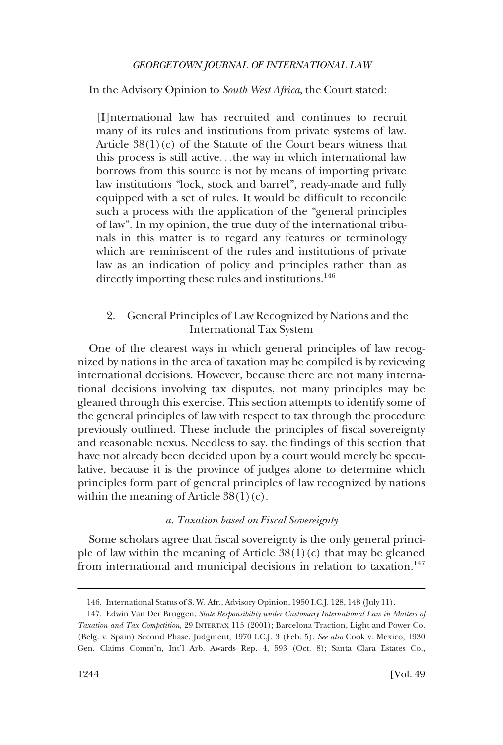<span id="page-25-0"></span>In the Advisory Opinion to *South West Africa*, the Court stated:

[I]nternational law has recruited and continues to recruit many of its rules and institutions from private systems of law. Article  $38(1)(c)$  of the Statute of the Court bears witness that this process is still active. . .the way in which international law borrows from this source is not by means of importing private law institutions "lock, stock and barrel", ready-made and fully equipped with a set of rules. It would be difficult to reconcile such a process with the application of the "general principles of law". In my opinion, the true duty of the international tribunals in this matter is to regard any features or terminology which are reminiscent of the rules and institutions of private law as an indication of policy and principles rather than as directly importing these rules and institutions.<sup>146</sup>

## 2. General Principles of Law Recognized by Nations and the International Tax System

One of the clearest ways in which general principles of law recognized by nations in the area of taxation may be compiled is by reviewing international decisions. However, because there are not many international decisions involving tax disputes, not many principles may be gleaned through this exercise. This section attempts to identify some of the general principles of law with respect to tax through the procedure previously outlined. These include the principles of fiscal sovereignty and reasonable nexus. Needless to say, the findings of this section that have not already been decided upon by a court would merely be speculative, because it is the province of judges alone to determine which principles form part of general principles of law recognized by nations within the meaning of Article  $38(1)(c)$ .

## *a. Taxation based on Fiscal Sovereignty*

Some scholars agree that fiscal sovereignty is the only general principle of law within the meaning of Article  $38(1)(c)$  that may be gleaned from international and municipal decisions in relation to taxation.<sup>147</sup>

<sup>146.</sup> International Status of S. W. Afr., Advisory Opinion, 1950 I.C.J. 128, 148 (July 11).

<sup>147.</sup> Edwin Van Der Bruggen, *State Responsibility under Customary International Law in Matters of Taxation and Tax Competition*, 29 INTERTAX 115 (2001); Barcelona Traction, Light and Power Co. (Belg. v. Spain) Second Phase, Judgment, 1970 I.C.J. 3 (Feb. 5). *See also* Cook v. Mexico, 1930 Gen. Claims Comm'n, Int'l Arb. Awards Rep. 4, 593 (Oct. 8); Santa Clara Estates Co.,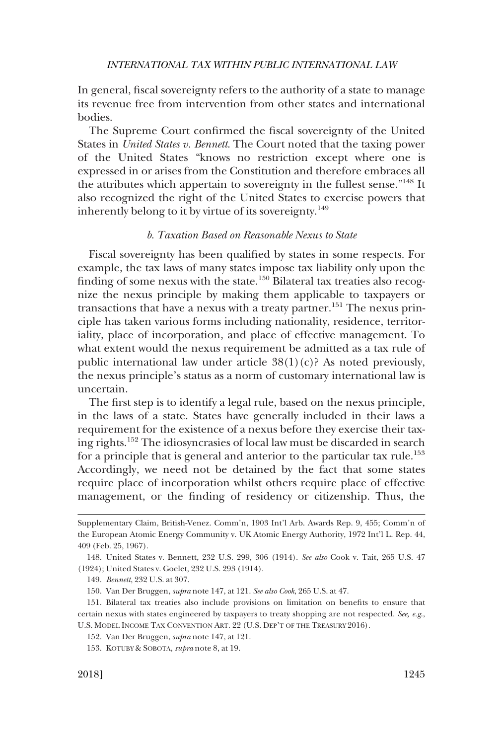<span id="page-26-0"></span>In general, fiscal sovereignty refers to the authority of a state to manage its revenue free from intervention from other states and international bodies.

The Supreme Court confirmed the fiscal sovereignty of the United States in *United States v. Bennett*. The Court noted that the taxing power of the United States "knows no restriction except where one is expressed in or arises from the Constitution and therefore embraces all the attributes which appertain to sovereignty in the fullest sense."148 It also recognized the right of the United States to exercise powers that inherently belong to it by virtue of its sovereignty.<sup>149</sup>

## *b. Taxation Based on Reasonable Nexus to State*

Fiscal sovereignty has been qualified by states in some respects. For example, the tax laws of many states impose tax liability only upon the finding of some nexus with the state.150 Bilateral tax treaties also recognize the nexus principle by making them applicable to taxpayers or transactions that have a nexus with a treaty partner.<sup>151</sup> The nexus principle has taken various forms including nationality, residence, territoriality, place of incorporation, and place of effective management. To what extent would the nexus requirement be admitted as a tax rule of public international law under article  $38(1)(c)$ ? As noted previously, the nexus principle's status as a norm of customary international law is uncertain.

The first step is to identify a legal rule, based on the nexus principle, in the laws of a state. States have generally included in their laws a requirement for the existence of a nexus before they exercise their taxing rights.152 The idiosyncrasies of local law must be discarded in search for a principle that is general and anterior to the particular tax rule.<sup>153</sup> Accordingly, we need not be detained by the fact that some states require place of incorporation whilst others require place of effective management, or the finding of residency or citizenship. Thus, the

Supplementary Claim, British-Venez. Comm'n, 1903 Int'l Arb. Awards Rep. 9, 455; Comm'n of the European Atomic Energy Community v. UK Atomic Energy Authority, 1972 Int'l L. Rep. 44, 409 (Feb. 25, 1967).

<sup>148.</sup> United States v. Bennett, 232 U.S. 299, 306 (1914). *See also* Cook v. Tait, 265 U.S. 47 (1924); United States v. Goelet, 232 U.S. 293 (1914).

<sup>149.</sup> *Bennett*, 232 U.S. at 307.

<sup>150.</sup> Van Der Bruggen, *supra* note 147, at 121. *See also Cook*, 265 U.S. at 47.

<sup>151.</sup> Bilateral tax treaties also include provisions on limitation on benefits to ensure that certain nexus with states engineered by taxpayers to treaty shopping are not respected. *See, e.g*., U.S. MODEL INCOME TAX CONVENTION ART. 22 (U.S. DEP'T OF THE TREASURY 2016).

<sup>152.</sup> Van Der Bruggen, *supra* note 147, at 121.

<sup>153.</sup> KOTUBY & SOBOTA, *supra* note 8, at 19.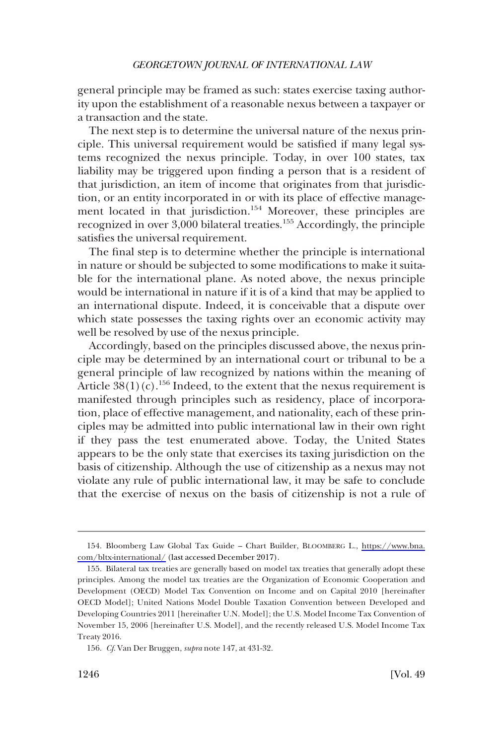general principle may be framed as such: states exercise taxing authority upon the establishment of a reasonable nexus between a taxpayer or a transaction and the state.

The next step is to determine the universal nature of the nexus principle. This universal requirement would be satisfied if many legal systems recognized the nexus principle. Today, in over 100 states, tax liability may be triggered upon finding a person that is a resident of that jurisdiction, an item of income that originates from that jurisdiction, or an entity incorporated in or with its place of effective management located in that jurisdiction.<sup>154</sup> Moreover, these principles are recognized in over 3,000 bilateral treaties.155 Accordingly, the principle satisfies the universal requirement.

The final step is to determine whether the principle is international in nature or should be subjected to some modifications to make it suitable for the international plane. As noted above, the nexus principle would be international in nature if it is of a kind that may be applied to an international dispute. Indeed, it is conceivable that a dispute over which state possesses the taxing rights over an economic activity may well be resolved by use of the nexus principle.

Accordingly, based on the principles discussed above, the nexus principle may be determined by an international court or tribunal to be a general principle of law recognized by nations within the meaning of Article  $38(1)(c)$ .<sup>156</sup> Indeed, to the extent that the nexus requirement is manifested through principles such as residency, place of incorporation, place of effective management, and nationality, each of these principles may be admitted into public international law in their own right if they pass the test enumerated above. Today, the United States appears to be the only state that exercises its taxing jurisdiction on the basis of citizenship. Although the use of citizenship as a nexus may not violate any rule of public international law, it may be safe to conclude that the exercise of nexus on the basis of citizenship is not a rule of

Bloomberg Law Global Tax Guide – Chart Builder, BLOOMBERG L., [https://www.bna.](https://www.bna.com/bltx-international/) 154. [com/bltx-international/](https://www.bna.com/bltx-international/) (last accessed December 2017).

<sup>155.</sup> Bilateral tax treaties are generally based on model tax treaties that generally adopt these principles. Among the model tax treaties are the Organization of Economic Cooperation and Development (OECD) Model Tax Convention on Income and on Capital 2010 [hereinafter OECD Model]; United Nations Model Double Taxation Convention between Developed and Developing Countries 2011 [hereinafter U.N. Model]; the U.S. Model Income Tax Convention of November 15, 2006 [hereinafter U.S. Model], and the recently released U.S. Model Income Tax Treaty 2016.

<sup>156.</sup> *Cf*. Van Der Bruggen, *supra* note 147, at 431-32.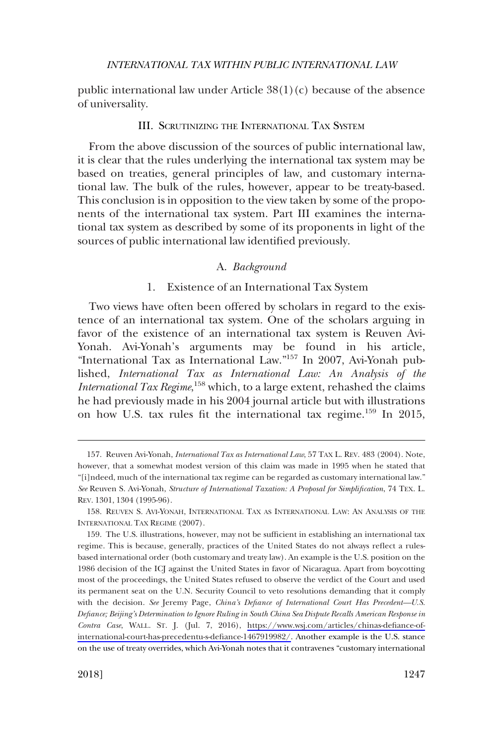<span id="page-28-0"></span>public international law under Article  $38(1)(c)$  because of the absence of universality.

## III. SCRUTINIZING THE INTERNATIONAL TAX SYSTEM

From the above discussion of the sources of public international law, it is clear that the rules underlying the international tax system may be based on treaties, general principles of law, and customary international law. The bulk of the rules, however, appear to be treaty-based. This conclusion is in opposition to the view taken by some of the proponents of the international tax system. Part III examines the international tax system as described by some of its proponents in light of the sources of public international law identified previously.

## A. *Background*

## 1. Existence of an International Tax System

Two views have often been offered by scholars in regard to the existence of an international tax system. One of the scholars arguing in favor of the existence of an international tax system is Reuven Avi-Yonah. Avi-Yonah's arguments may be found in his article, "International Tax as International Law."157 In 2007, Avi-Yonah published, *International Tax as International Law: An Analysis of the International Tax Regime*, 158 which, to a large extent, rehashed the claims he had previously made in his 2004 journal article but with illustrations on how U.S. tax rules fit the international tax regime.<sup>159</sup> In 2015,

<sup>157.</sup> Reuven Avi-Yonah, *International Tax as International Law*, 57 TAX L. REV. 483 (2004). Note, however, that a somewhat modest version of this claim was made in 1995 when he stated that "[i]ndeed, much of the international tax regime can be regarded as customary international law." *See* Reuven S. Avi-Yonah, *Structure of International Taxation: A Proposal for Simplification*, 74 TEX. L. REV. 1301, 1304 (1995-96).

<sup>158.</sup> REUVEN S. AVI-YONAH, INTERNATIONAL TAX AS INTERNATIONAL LAW: AN ANALYSIS OF THE INTERNATIONAL TAX REGIME (2007).

<sup>159.</sup> The U.S. illustrations, however, may not be sufficient in establishing an international tax regime. This is because, generally, practices of the United States do not always reflect a rulesbased international order (both customary and treaty law). An example is the U.S. position on the 1986 decision of the ICJ against the United States in favor of Nicaragua. Apart from boycotting most of the proceedings, the United States refused to observe the verdict of the Court and used its permanent seat on the U.N. Security Council to veto resolutions demanding that it comply with the decision. *See* Jeremy Page, *China's Defiance of International Court Has Precedent—U.S. Defiance; Beijing's Determination to Ignore Ruling in South China Sea Dispute Recalls American Response in Contra Case*, WALL. ST. J. (Jul. 7, 2016), [https://www.wsj.com/articles/chinas-defiance-of](https://www.wsj.com/articles/chinas-defiance-of-international-court-has-precedentu-s-defiance-1467919982/)[international-court-has-precedentu-s-defiance-1467919982/](https://www.wsj.com/articles/chinas-defiance-of-international-court-has-precedentu-s-defiance-1467919982/). Another example is the U.S. stance on the use of treaty overrides, which Avi-Yonah notes that it contravenes "customary international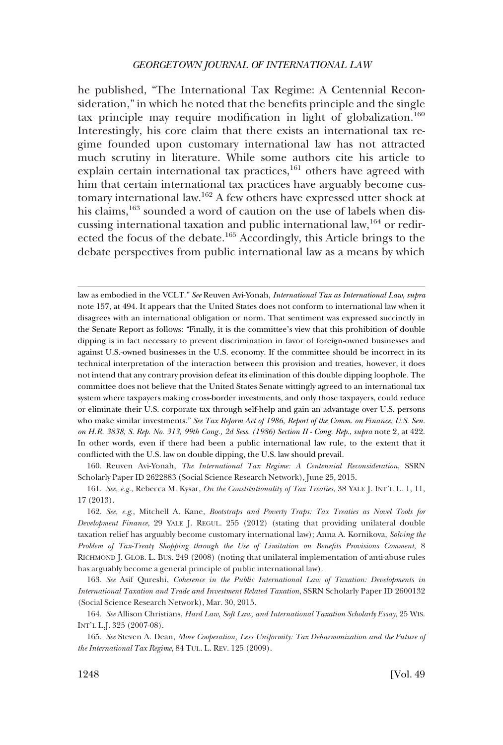he published, "The International Tax Regime: A Centennial Reconsideration," in which he noted that the benefits principle and the single tax principle may require modification in light of globalization.<sup>160</sup> Interestingly, his core claim that there exists an international tax regime founded upon customary international law has not attracted much scrutiny in literature. While some authors cite his article to explain certain international tax practices, $161$  others have agreed with him that certain international tax practices have arguably become customary international law.162 A few others have expressed utter shock at his claims,<sup>163</sup> sounded a word of caution on the use of labels when discussing international taxation and public international law,  $164$  or redirected the focus of the debate.165 Accordingly, this Article brings to the debate perspectives from public international law as a means by which

law as embodied in the VCLT." *See* Reuven Avi-Yonah, *International Tax as International Law*, *supra*  note 157, at 494. It appears that the United States does not conform to international law when it disagrees with an international obligation or norm. That sentiment was expressed succinctly in the Senate Report as follows: "Finally, it is the committee's view that this prohibition of double dipping is in fact necessary to prevent discrimination in favor of foreign-owned businesses and against U.S.-owned businesses in the U.S. economy. If the committee should be incorrect in its technical interpretation of the interaction between this provision and treaties, however, it does not intend that any contrary provision defeat its elimination of this double dipping loophole. The committee does not believe that the United States Senate wittingly agreed to an international tax system where taxpayers making cross-border investments, and only those taxpayers, could reduce or eliminate their U.S. corporate tax through self-help and gain an advantage over U.S. persons who make similar investments." *See Tax Reform Act of 1986, Report of the Comm. on Finance, U.S. Sen. on H.R. 3838, S. Rep. No. 313, 99th Cong., 2d Sess. (1986) Section II - Cong. Rep*., *supra* note 2, at 422. In other words, even if there had been a public international law rule, to the extent that it conflicted with the U.S. law on double dipping, the U.S. law should prevail.

160. Reuven Avi-Yonah, *The International Tax Regime: A Centennial Reconsideration*, SSRN Scholarly Paper ID 2622883 (Social Science Research Network), June 25, 2015.

161. *See, e.g*., Rebecca M. Kysar, *On the Constitutionality of Tax Treaties*, 38 YALE J. INT'L L. 1, 11, 17 (2013).

162. *See, e.g*., Mitchell A. Kane, *Bootstraps and Poverty Traps: Tax Treaties as Novel Tools for Development Finance*, 29 YALE J. REGUL. 255 (2012) (stating that providing unilateral double taxation relief has arguably become customary international law); Anna A. Kornikova, *Solving the Problem of Tax-Treaty Shopping through the Use of Limitation on Benefits Provisions Comment*, 8 RICHMOND J. GLOB. L. BUS. 249 (2008) (noting that unilateral implementation of anti-abuse rules has arguably become a general principle of public international law).

163. *See* Asif Qureshi, *Coherence in the Public International Law of Taxation: Developments in International Taxation and Trade and Investment Related Taxation*, SSRN Scholarly Paper ID 2600132 (Social Science Research Network), Mar. 30, 2015.

164. *See* Allison Christians, *Hard Law, Soft Law, and International Taxation Scholarly Essay*, 25 WIS. INT'L L.J. 325 (2007-08).

165. *See* Steven A. Dean, *More Cooperation, Less Uniformity: Tax Deharmonization and the Future of the International Tax Regime*, 84 TUL. L. REV. 125 (2009).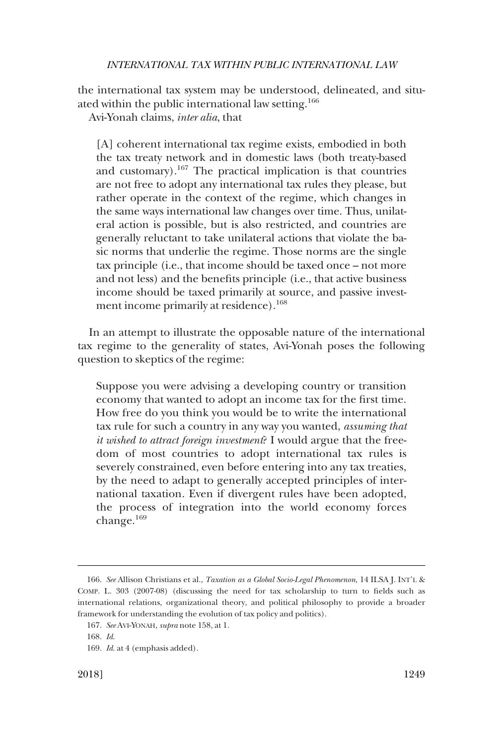the international tax system may be understood, delineated, and situated within the public international law setting.<sup>166</sup>

Avi-Yonah claims, *inter alia*, that

[A] coherent international tax regime exists, embodied in both the tax treaty network and in domestic laws (both treaty-based and customary).167 The practical implication is that countries are not free to adopt any international tax rules they please, but rather operate in the context of the regime, which changes in the same ways international law changes over time. Thus, unilateral action is possible, but is also restricted, and countries are generally reluctant to take unilateral actions that violate the basic norms that underlie the regime. Those norms are the single tax principle (i.e., that income should be taxed once – not more and not less) and the benefits principle (i.e., that active business income should be taxed primarily at source, and passive investment income primarily at residence).<sup>168</sup>

In an attempt to illustrate the opposable nature of the international tax regime to the generality of states, Avi-Yonah poses the following question to skeptics of the regime:

Suppose you were advising a developing country or transition economy that wanted to adopt an income tax for the first time. How free do you think you would be to write the international tax rule for such a country in any way you wanted, *assuming that it wished to attract foreign investment*? I would argue that the freedom of most countries to adopt international tax rules is severely constrained, even before entering into any tax treaties, by the need to adapt to generally accepted principles of international taxation. Even if divergent rules have been adopted, the process of integration into the world economy forces change.<sup>169</sup>

<sup>166.</sup> *See* Allison Christians et al., *Taxation as a Global Socio-Legal Phenomenon*, 14 ILSA J. INT'L & COMP. L. 303 (2007-08) (discussing the need for tax scholarship to turn to fields such as international relations, organizational theory, and political philosophy to provide a broader framework for understanding the evolution of tax policy and politics).

<sup>167.</sup> *See* AVI-YONAH, *supra* note 158, at 1.

<sup>168.</sup> *Id*.

<sup>169.</sup> *Id*. at 4 (emphasis added).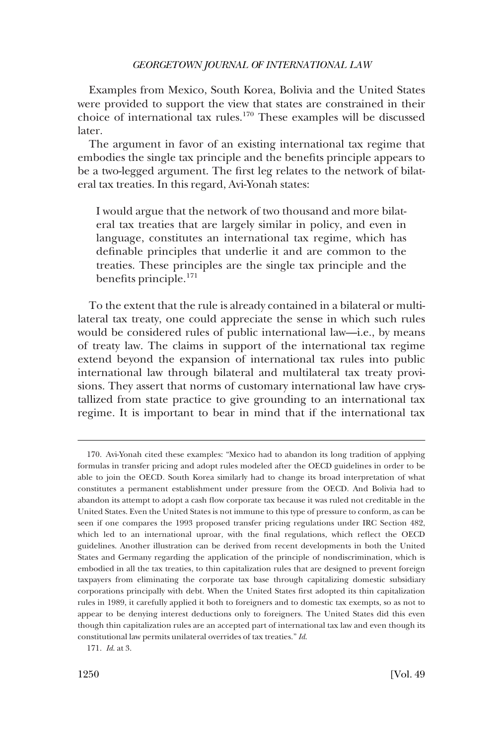Examples from Mexico, South Korea, Bolivia and the United States were provided to support the view that states are constrained in their choice of international tax rules.170 These examples will be discussed later.

The argument in favor of an existing international tax regime that embodies the single tax principle and the benefits principle appears to be a two-legged argument. The first leg relates to the network of bilateral tax treaties. In this regard, Avi-Yonah states:

I would argue that the network of two thousand and more bilateral tax treaties that are largely similar in policy, and even in language, constitutes an international tax regime, which has definable principles that underlie it and are common to the treaties. These principles are the single tax principle and the benefits principle.<sup>171</sup>

To the extent that the rule is already contained in a bilateral or multilateral tax treaty, one could appreciate the sense in which such rules would be considered rules of public international law—i.e., by means of treaty law. The claims in support of the international tax regime extend beyond the expansion of international tax rules into public international law through bilateral and multilateral tax treaty provisions. They assert that norms of customary international law have crystallized from state practice to give grounding to an international tax regime. It is important to bear in mind that if the international tax

<sup>170.</sup> Avi-Yonah cited these examples: "Mexico had to abandon its long tradition of applying formulas in transfer pricing and adopt rules modeled after the OECD guidelines in order to be able to join the OECD. South Korea similarly had to change its broad interpretation of what constitutes a permanent establishment under pressure from the OECD. And Bolivia had to abandon its attempt to adopt a cash flow corporate tax because it was ruled not creditable in the United States. Even the United States is not immune to this type of pressure to conform, as can be seen if one compares the 1993 proposed transfer pricing regulations under IRC Section 482, which led to an international uproar, with the final regulations, which reflect the OECD guidelines. Another illustration can be derived from recent developments in both the United States and Germany regarding the application of the principle of nondiscrimination, which is embodied in all the tax treaties, to thin capitalization rules that are designed to prevent foreign taxpayers from eliminating the corporate tax base through capitalizing domestic subsidiary corporations principally with debt. When the United States first adopted its thin capitalization rules in 1989, it carefully applied it both to foreigners and to domestic tax exempts, so as not to appear to be denying interest deductions only to foreigners. The United States did this even though thin capitalization rules are an accepted part of international tax law and even though its constitutional law permits unilateral overrides of tax treaties." *Id*.

<sup>171.</sup> *Id*. at 3.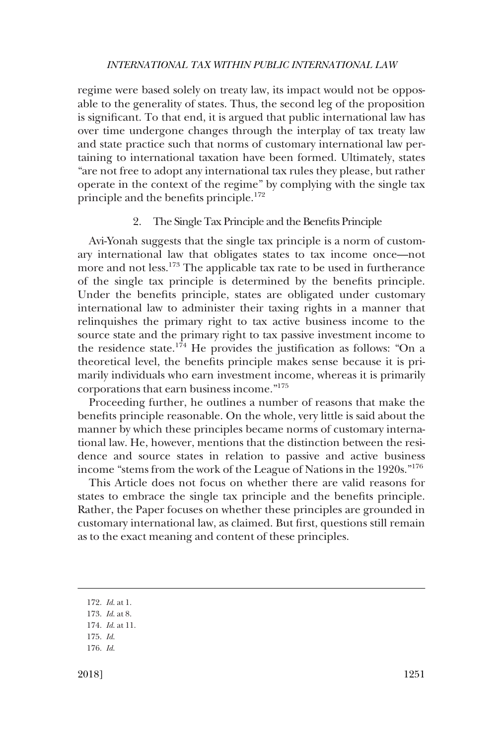<span id="page-32-0"></span>regime were based solely on treaty law, its impact would not be opposable to the generality of states. Thus, the second leg of the proposition is significant. To that end, it is argued that public international law has over time undergone changes through the interplay of tax treaty law and state practice such that norms of customary international law pertaining to international taxation have been formed. Ultimately, states "are not free to adopt any international tax rules they please, but rather operate in the context of the regime" by complying with the single tax principle and the benefits principle.<sup>172</sup>

## 2. The Single Tax Principle and the Benefits Principle

Avi-Yonah suggests that the single tax principle is a norm of customary international law that obligates states to tax income once—not more and not less.173 The applicable tax rate to be used in furtherance of the single tax principle is determined by the benefits principle. Under the benefits principle, states are obligated under customary international law to administer their taxing rights in a manner that relinquishes the primary right to tax active business income to the source state and the primary right to tax passive investment income to the residence state.<sup>174</sup> He provides the justification as follows: "On a theoretical level, the benefits principle makes sense because it is primarily individuals who earn investment income, whereas it is primarily corporations that earn business income."175

Proceeding further, he outlines a number of reasons that make the benefits principle reasonable. On the whole, very little is said about the manner by which these principles became norms of customary international law. He, however, mentions that the distinction between the residence and source states in relation to passive and active business income "stems from the work of the League of Nations in the 1920s."<sup>176</sup>

This Article does not focus on whether there are valid reasons for states to embrace the single tax principle and the benefits principle. Rather, the Paper focuses on whether these principles are grounded in customary international law, as claimed. But first, questions still remain as to the exact meaning and content of these principles.

<sup>172.</sup> *Id*. at 1.

<sup>173.</sup> *Id*. at 8.

<sup>174.</sup> *Id*. at 11.

<sup>175.</sup> *Id*.

<sup>176.</sup> *Id*.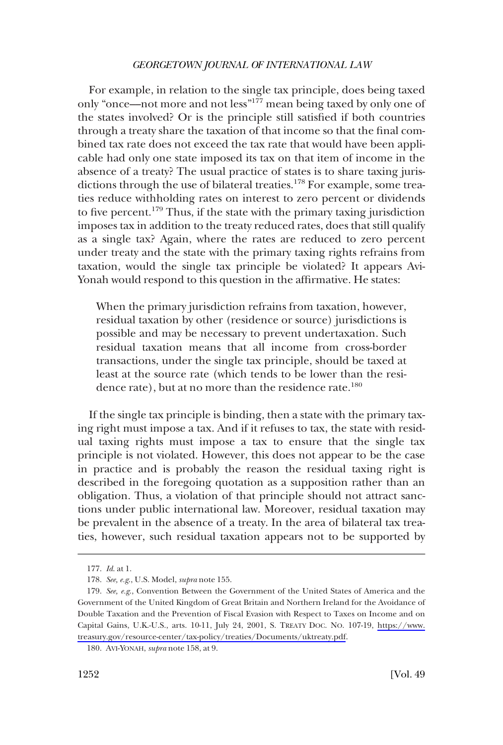For example, in relation to the single tax principle, does being taxed only "once––not more and not less"177 mean being taxed by only one of the states involved? Or is the principle still satisfied if both countries through a treaty share the taxation of that income so that the final combined tax rate does not exceed the tax rate that would have been applicable had only one state imposed its tax on that item of income in the absence of a treaty? The usual practice of states is to share taxing jurisdictions through the use of bilateral treaties.<sup>178</sup> For example, some treaties reduce withholding rates on interest to zero percent or dividends to five percent.<sup>179</sup> Thus, if the state with the primary taxing jurisdiction imposes tax in addition to the treaty reduced rates, does that still qualify as a single tax? Again, where the rates are reduced to zero percent under treaty and the state with the primary taxing rights refrains from taxation, would the single tax principle be violated? It appears Avi-Yonah would respond to this question in the affirmative. He states:

When the primary jurisdiction refrains from taxation, however, residual taxation by other (residence or source) jurisdictions is possible and may be necessary to prevent undertaxation. Such residual taxation means that all income from cross-border transactions, under the single tax principle, should be taxed at least at the source rate (which tends to be lower than the residence rate), but at no more than the residence rate.<sup>180</sup>

If the single tax principle is binding, then a state with the primary taxing right must impose a tax. And if it refuses to tax, the state with residual taxing rights must impose a tax to ensure that the single tax principle is not violated. However, this does not appear to be the case in practice and is probably the reason the residual taxing right is described in the foregoing quotation as a supposition rather than an obligation. Thus, a violation of that principle should not attract sanctions under public international law. Moreover, residual taxation may be prevalent in the absence of a treaty. In the area of bilateral tax treaties, however, such residual taxation appears not to be supported by

<sup>177.</sup> *Id*. at 1.

<sup>178.</sup> *See, e.g*., U.S. Model, *supra* note 155.

<sup>179.</sup> See, e.g., Convention Between the Government of the United States of America and the Government of the United Kingdom of Great Britain and Northern Ireland for the Avoidance of Double Taxation and the Prevention of Fiscal Evasion with Respect to Taxes on Income and on Capital Gains, U.K.-U.S., arts. 10-11, July 24, 2001, S. TREATY DOC. NO. 107-19, [https://www.](https://www.treasury.gov/resource-center/tax-policy/treaties/Documents/uktreaty.pdf) [treasury.gov/resource-center/tax-policy/treaties/Documents/uktreaty.pdf](https://www.treasury.gov/resource-center/tax-policy/treaties/Documents/uktreaty.pdf).

<sup>180.</sup> AVI-YONAH, *supra* note 158, at 9.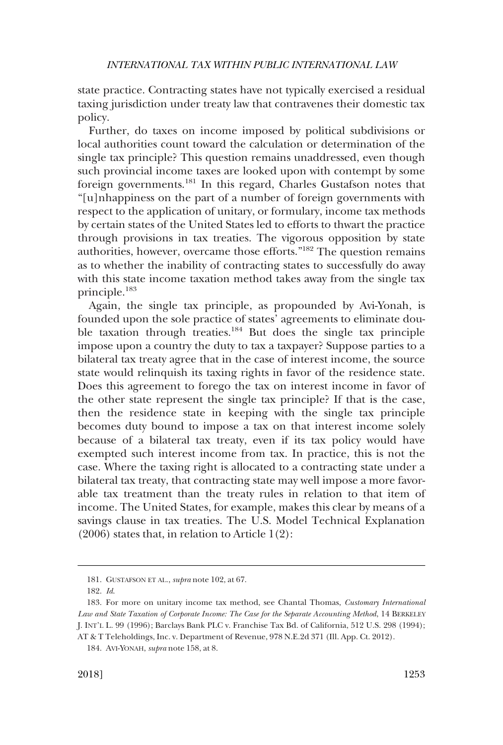state practice. Contracting states have not typically exercised a residual taxing jurisdiction under treaty law that contravenes their domestic tax policy.

Further, do taxes on income imposed by political subdivisions or local authorities count toward the calculation or determination of the single tax principle? This question remains unaddressed, even though such provincial income taxes are looked upon with contempt by some foreign governments.181 In this regard, Charles Gustafson notes that "[u]nhappiness on the part of a number of foreign governments with respect to the application of unitary, or formulary, income tax methods by certain states of the United States led to efforts to thwart the practice through provisions in tax treaties. The vigorous opposition by state authorities, however, overcame those efforts."182 The question remains as to whether the inability of contracting states to successfully do away with this state income taxation method takes away from the single tax principle.183

Again, the single tax principle, as propounded by Avi-Yonah, is founded upon the sole practice of states' agreements to eliminate double taxation through treaties.<sup>184</sup> But does the single tax principle impose upon a country the duty to tax a taxpayer? Suppose parties to a bilateral tax treaty agree that in the case of interest income, the source state would relinquish its taxing rights in favor of the residence state. Does this agreement to forego the tax on interest income in favor of the other state represent the single tax principle? If that is the case, then the residence state in keeping with the single tax principle becomes duty bound to impose a tax on that interest income solely because of a bilateral tax treaty, even if its tax policy would have exempted such interest income from tax. In practice, this is not the case. Where the taxing right is allocated to a contracting state under a bilateral tax treaty, that contracting state may well impose a more favorable tax treatment than the treaty rules in relation to that item of income. The United States, for example, makes this clear by means of a savings clause in tax treaties. The U.S. Model Technical Explanation  $(2006)$  states that, in relation to Article 1 $(2)$ :

<sup>181.</sup> GUSTAFSON ET AL., *supra* note 102, at 67.

<sup>182.</sup> *Id*.

<sup>183.</sup> For more on unitary income tax method, see Chantal Thomas, *Customary International Law and State Taxation of Corporate Income: The Case for the Separate Accounting Method*, 14 BERKELEY J. INT'L L. 99 (1996); Barclays Bank PLC v. Franchise Tax Bd. of California, 512 U.S. 298 (1994);

AT & T Teleholdings, Inc. v. Department of Revenue, 978 N.E.2d 371 (Ill. App. Ct. 2012).

<sup>184.</sup> AVI-YONAH, *supra* note 158, at 8.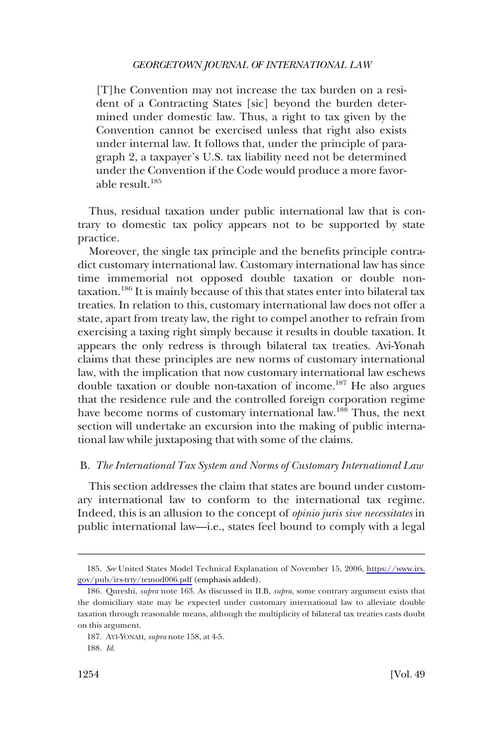<span id="page-35-0"></span>[T]he Convention may not increase the tax burden on a resident of a Contracting States [sic] beyond the burden determined under domestic law. Thus, a right to tax given by the Convention cannot be exercised unless that right also exists under internal law. It follows that, under the principle of paragraph 2, a taxpayer's U.S. tax liability need not be determined under the Convention if the Code would produce a more favorable result.<sup>185</sup>

Thus, residual taxation under public international law that is contrary to domestic tax policy appears not to be supported by state practice.

Moreover, the single tax principle and the benefits principle contradict customary international law. Customary international law has since time immemorial not opposed double taxation or double nontaxation.<sup>186</sup> It is mainly because of this that states enter into bilateral tax treaties. In relation to this, customary international law does not offer a state, apart from treaty law, the right to compel another to refrain from exercising a taxing right simply because it results in double taxation. It appears the only redress is through bilateral tax treaties. Avi-Yonah claims that these principles are new norms of customary international law, with the implication that now customary international law eschews double taxation or double non-taxation of income.187 He also argues that the residence rule and the controlled foreign corporation regime have become norms of customary international law.<sup>188</sup> Thus, the next section will undertake an excursion into the making of public international law while juxtaposing that with some of the claims.

## B. *The International Tax System and Norms of Customary International Law*

This section addresses the claim that states are bound under customary international law to conform to the international tax regime. Indeed, this is an allusion to the concept of *opinio juris sive necessitates* in public international law––i.e., states feel bound to comply with a legal

*See* United States Model Technical Explanation of November 15, 2006, [https://www.irs.](https://www.irs.gov/pub/irs-trty/temod006.pdf)  185. [gov/pub/irs-trty/temod006.pdf](https://www.irs.gov/pub/irs-trty/temod006.pdf) (emphasis added).

<sup>186.</sup> Qureshi, *supra* note 163. As discussed in II.B, *supra*, some contrary argument exists that the domiciliary state may be expected under customary international law to alleviate double taxation through reasonable means, although the multiplicity of bilateral tax treaties casts doubt on this argument.

<sup>187.</sup> AVI-YONAH, *supra* note 158, at 4-5.

<sup>188.</sup> *Id*.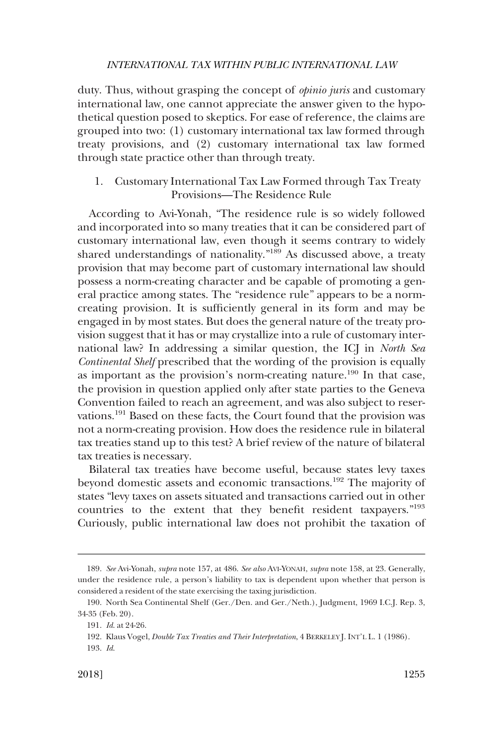<span id="page-36-0"></span>duty. Thus, without grasping the concept of *opinio juris* and customary international law, one cannot appreciate the answer given to the hypothetical question posed to skeptics. For ease of reference, the claims are grouped into two: (1) customary international tax law formed through treaty provisions, and (2) customary international tax law formed through state practice other than through treaty.

1. Customary International Tax Law Formed through Tax Treaty Provisions—The Residence Rule

According to Avi-Yonah, "The residence rule is so widely followed and incorporated into so many treaties that it can be considered part of customary international law, even though it seems contrary to widely shared understandings of nationality."189 As discussed above, a treaty provision that may become part of customary international law should possess a norm-creating character and be capable of promoting a general practice among states. The "residence rule" appears to be a normcreating provision. It is sufficiently general in its form and may be engaged in by most states. But does the general nature of the treaty provision suggest that it has or may crystallize into a rule of customary international law? In addressing a similar question, the ICJ in *North Sea Continental Shelf* prescribed that the wording of the provision is equally as important as the provision's norm-creating nature.<sup>190</sup> In that case, the provision in question applied only after state parties to the Geneva Convention failed to reach an agreement, and was also subject to reservations.<sup>191</sup> Based on these facts, the Court found that the provision was not a norm-creating provision. How does the residence rule in bilateral tax treaties stand up to this test? A brief review of the nature of bilateral tax treaties is necessary.

Bilateral tax treaties have become useful, because states levy taxes beyond domestic assets and economic transactions.192 The majority of states "levy taxes on assets situated and transactions carried out in other countries to the extent that they benefit resident taxpayers."<sup>193</sup> Curiously, public international law does not prohibit the taxation of

<sup>189.</sup> *See* Avi-Yonah, *supra* note 157, at 486. *See also* AVI-YONAH, *supra* note 158, at 23. Generally, under the residence rule, a person's liability to tax is dependent upon whether that person is considered a resident of the state exercising the taxing jurisdiction.

<sup>190.</sup> North Sea Continental Shelf (Ger./Den. and Ger./Neth.), Judgment, 1969 I.C.J. Rep. 3, 34-35 (Feb. 20).

<sup>191.</sup> *Id*. at 24-26.

<sup>192.</sup> Klaus Vogel, *Double Tax Treaties and Their Interpretation*, 4 BERKELEY J. INT'L L. 1 (1986).

<sup>193.</sup> *Id*.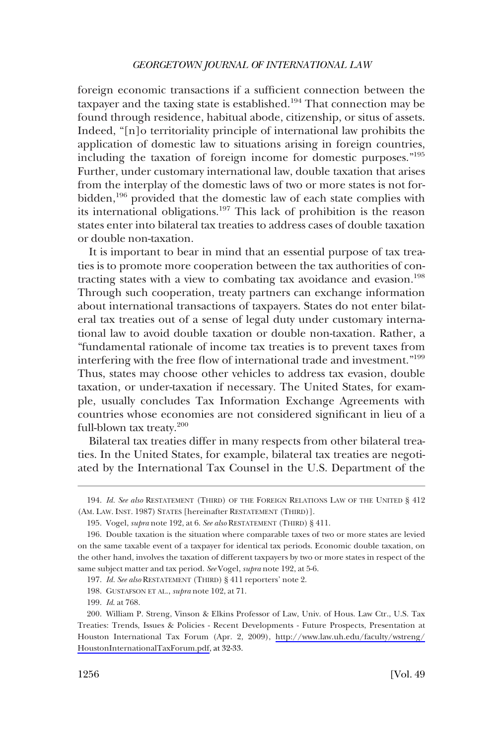foreign economic transactions if a sufficient connection between the taxpayer and the taxing state is established.<sup>194</sup> That connection may be found through residence, habitual abode, citizenship, or situs of assets. Indeed, "[n]o territoriality principle of international law prohibits the application of domestic law to situations arising in foreign countries, including the taxation of foreign income for domestic purposes."<sup>195</sup> Further, under customary international law, double taxation that arises from the interplay of the domestic laws of two or more states is not forbidden,<sup>196</sup> provided that the domestic law of each state complies with its international obligations.197 This lack of prohibition is the reason states enter into bilateral tax treaties to address cases of double taxation or double non-taxation.

It is important to bear in mind that an essential purpose of tax treaties is to promote more cooperation between the tax authorities of contracting states with a view to combating tax avoidance and evasion.<sup>198</sup> Through such cooperation, treaty partners can exchange information about international transactions of taxpayers. States do not enter bilateral tax treaties out of a sense of legal duty under customary international law to avoid double taxation or double non-taxation. Rather, a "fundamental rationale of income tax treaties is to prevent taxes from interfering with the free flow of international trade and investment."<sup>199</sup> Thus, states may choose other vehicles to address tax evasion, double taxation, or under-taxation if necessary. The United States, for example, usually concludes Tax Information Exchange Agreements with countries whose economies are not considered significant in lieu of a full-blown tax treaty.<sup>200</sup>

Bilateral tax treaties differ in many respects from other bilateral treaties. In the United States, for example, bilateral tax treaties are negotiated by the International Tax Counsel in the U.S. Department of the

<sup>194.</sup> *Id. See also* RESTATEMENT (THIRD) OF THE FOREIGN RELATIONS LAW OF THE UNITED § 412 (AM. LAW. INST. 1987) STATES [hereinafter RESTATEMENT (THIRD)].

<sup>195.</sup> Vogel, *supra* note 192, at 6. *See also* RESTATEMENT (THIRD) § 411.

<sup>196.</sup> Double taxation is the situation where comparable taxes of two or more states are levied on the same taxable event of a taxpayer for identical tax periods. Economic double taxation, on the other hand, involves the taxation of different taxpayers by two or more states in respect of the same subject matter and tax period. *See* Vogel, *supra* note 192, at 5-6.

<sup>197.</sup> *Id. See also* RESTATEMENT (THIRD) § 411 reporters' note 2.

<sup>198.</sup> GUSTAFSON ET AL., *supra* note 102, at 71.

<sup>199.</sup> *Id*. at 768.

<sup>200.</sup> William P. Streng, Vinson & Elkins Professor of Law, Univ. of Hous. Law Ctr., U.S. Tax Treaties: Trends, Issues & Policies - Recent Developments - Future Prospects, Presentation at Houston International Tax Forum (Apr. 2, 2009), [http://www.law.uh.edu/faculty/wstreng/](http://www.law.uh.edu/faculty/wstreng/HoustonInternationalTaxForum.pdf) [HoustonInternationalTaxForum.pdf](http://www.law.uh.edu/faculty/wstreng/HoustonInternationalTaxForum.pdf), at 32-33.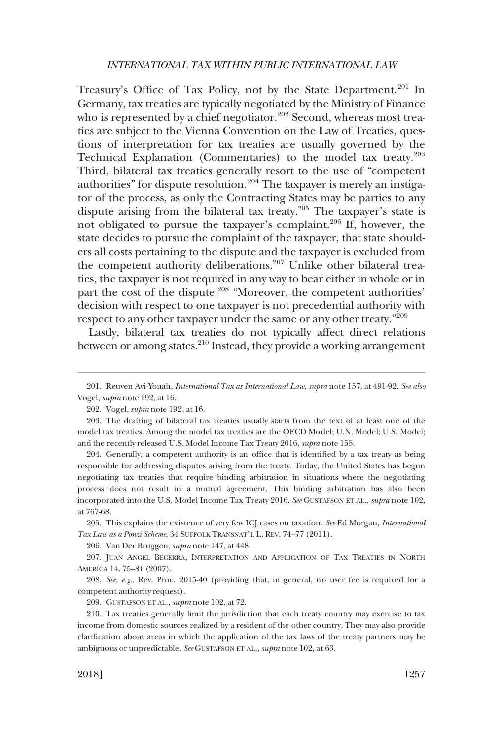Treasury's Office of Tax Policy, not by the State Department.<sup>201</sup> In Germany, tax treaties are typically negotiated by the Ministry of Finance who is represented by a chief negotiator.<sup>202</sup> Second, whereas most treaties are subject to the Vienna Convention on the Law of Treaties, questions of interpretation for tax treaties are usually governed by the Technical Explanation (Commentaries) to the model tax treaty.<sup>203</sup> Third, bilateral tax treaties generally resort to the use of "competent authorities" for dispute resolution.<sup>204</sup> The taxpayer is merely an instigator of the process, as only the Contracting States may be parties to any dispute arising from the bilateral tax treaty.205 The taxpayer's state is not obligated to pursue the taxpayer's complaint.<sup>206</sup> If, however, the state decides to pursue the complaint of the taxpayer, that state shoulders all costs pertaining to the dispute and the taxpayer is excluded from the competent authority deliberations.<sup>207</sup> Unlike other bilateral treaties, the taxpayer is not required in any way to bear either in whole or in part the cost of the dispute.<sup>208</sup> "Moreover, the competent authorities' decision with respect to one taxpayer is not precedential authority with respect to any other taxpayer under the same or any other treaty."209

Lastly, bilateral tax treaties do not typically affect direct relations between or among states.<sup>210</sup> Instead, they provide a working arrangement

204. Generally, a competent authority is an office that is identified by a tax treaty as being responsible for addressing disputes arising from the treaty. Today, the United States has begun negotiating tax treaties that require binding arbitration in situations where the negotiating process does not result in a mutual agreement. This binding arbitration has also been incorporated into the U.S. Model Income Tax Treaty 2016. *See* GUSTAFSON ET AL., *supra* note 102, at 767-68.

205. This explains the existence of very few ICJ cases on taxation. *See* Ed Morgan, *International Tax Law as a Ponzi Scheme*, 34 SUFFOLK TRANSNAT'L L. REV. 74–77 (2011).

206. Van Der Bruggen, *supra* note 147, at 448.

207. JUAN ANGEL BECERRA, INTERPRETATION AND APPLICATION OF TAX TREATIES IN NORTH AMERICA 14, 75–81 (2007).

208. *See, e.g*., Rev. Proc. 2015-40 (providing that, in general, no user fee is required for a competent authority request).

209. GUSTAFSON ET AL., *supra* note 102, at 72.

210. Tax treaties generally limit the jurisdiction that each treaty country may exercise to tax income from domestic sources realized by a resident of the other country. They may also provide clarification about areas in which the application of the tax laws of the treaty partners may be ambiguous or unpredictable. *See* GUSTAFSON ET AL., *supra* note 102, at 63.

<sup>201.</sup> Reuven Avi-Yonah, *International Tax as International Law*, *supra* note 157, at 491-92. *See also*  Vogel, *supra* note 192, at 16.

<sup>202.</sup> Vogel, *supra* note 192, at 16.

<sup>203.</sup> The drafting of bilateral tax treaties usually starts from the text of at least one of the model tax treaties. Among the model tax treaties are the OECD Model; U.N. Model; U.S. Model; and the recently released U.S. Model Income Tax Treaty 2016, *supra* note 155.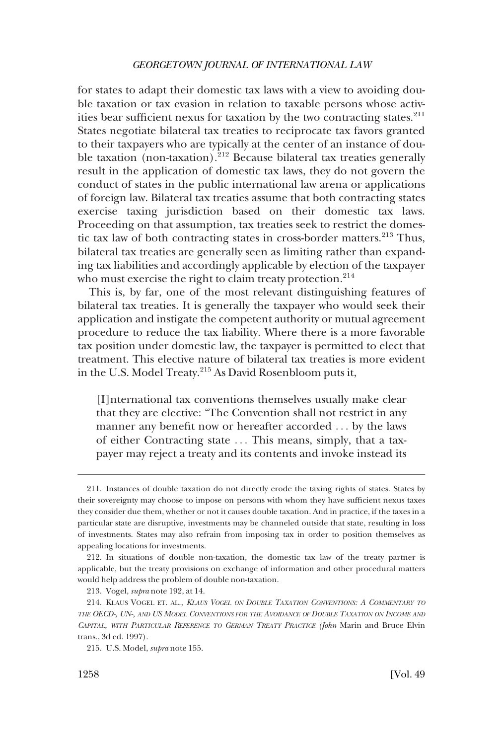for states to adapt their domestic tax laws with a view to avoiding double taxation or tax evasion in relation to taxable persons whose activities bear sufficient nexus for taxation by the two contracting states.<sup>211</sup> States negotiate bilateral tax treaties to reciprocate tax favors granted to their taxpayers who are typically at the center of an instance of double taxation (non-taxation).<sup>212</sup> Because bilateral tax treaties generally result in the application of domestic tax laws, they do not govern the conduct of states in the public international law arena or applications of foreign law. Bilateral tax treaties assume that both contracting states exercise taxing jurisdiction based on their domestic tax laws. Proceeding on that assumption, tax treaties seek to restrict the domestic tax law of both contracting states in cross-border matters.<sup>213</sup> Thus, bilateral tax treaties are generally seen as limiting rather than expanding tax liabilities and accordingly applicable by election of the taxpayer who must exercise the right to claim treaty protection.<sup>214</sup>

This is, by far, one of the most relevant distinguishing features of bilateral tax treaties. It is generally the taxpayer who would seek their application and instigate the competent authority or mutual agreement procedure to reduce the tax liability. Where there is a more favorable tax position under domestic law, the taxpayer is permitted to elect that treatment. This elective nature of bilateral tax treaties is more evident in the U.S. Model Treaty.215 As David Rosenbloom puts it,

[I]nternational tax conventions themselves usually make clear that they are elective: "The Convention shall not restrict in any manner any benefit now or hereafter accorded . . . by the laws of either Contracting state . . . This means, simply, that a taxpayer may reject a treaty and its contents and invoke instead its

<sup>211.</sup> Instances of double taxation do not directly erode the taxing rights of states. States by their sovereignty may choose to impose on persons with whom they have sufficient nexus taxes they consider due them, whether or not it causes double taxation. And in practice, if the taxes in a particular state are disruptive, investments may be channeled outside that state, resulting in loss of investments. States may also refrain from imposing tax in order to position themselves as appealing locations for investments.

<sup>212.</sup> In situations of double non-taxation, the domestic tax law of the treaty partner is applicable, but the treaty provisions on exchange of information and other procedural matters would help address the problem of double non-taxation.

<sup>213.</sup> Vogel, *supra* note 192, at 14.

<sup>214.</sup> KLAUS VOGEL ET. AL., *KLAUS VOGEL ON DOUBLE TAXATION CONVENTIONS: A COMMENTARY TO THE OECD-, UN-, AND US MODEL CONVENTIONS FOR THE AVOIDANCE OF DOUBLE TAXATION ON INCOME AND CAPITAL, WITH PARTICULAR REFERENCE TO GERMAN TREATY PRACTICE (John* Marin and Bruce Elvin trans., 3d ed. 1997).

<sup>215.</sup> U.S. Model, *supra* note 155.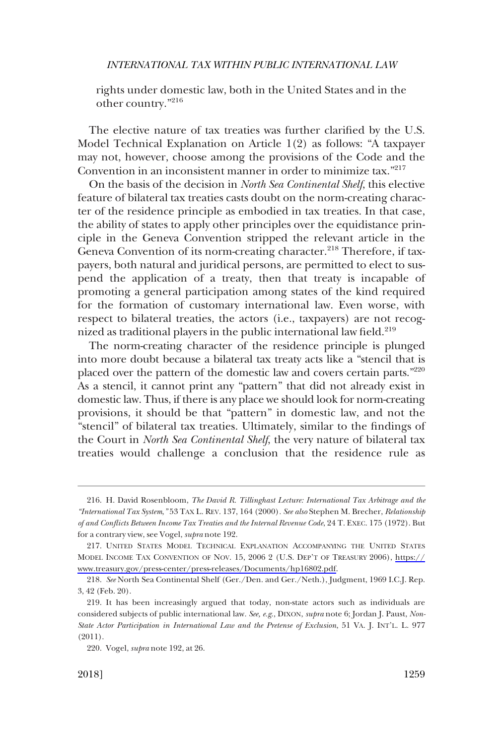rights under domestic law, both in the United States and in the other country."<sup>216</sup>

The elective nature of tax treaties was further clarified by the U.S. Model Technical Explanation on Article 1(2) as follows: "A taxpayer may not, however, choose among the provisions of the Code and the Convention in an inconsistent manner in order to minimize tax."217

On the basis of the decision in *North Sea Continental Shelf*, this elective feature of bilateral tax treaties casts doubt on the norm-creating character of the residence principle as embodied in tax treaties. In that case, the ability of states to apply other principles over the equidistance principle in the Geneva Convention stripped the relevant article in the Geneva Convention of its norm-creating character.<sup>218</sup> Therefore, if taxpayers, both natural and juridical persons, are permitted to elect to suspend the application of a treaty, then that treaty is incapable of promoting a general participation among states of the kind required for the formation of customary international law. Even worse, with respect to bilateral treaties, the actors (i.e., taxpayers) are not recognized as traditional players in the public international law field.<sup>219</sup>

The norm-creating character of the residence principle is plunged into more doubt because a bilateral tax treaty acts like a "stencil that is placed over the pattern of the domestic law and covers certain parts."220 As a stencil, it cannot print any "pattern" that did not already exist in domestic law. Thus, if there is any place we should look for norm-creating provisions, it should be that "pattern" in domestic law, and not the "stencil" of bilateral tax treaties. Ultimately, similar to the findings of the Court in *North Sea Continental Shelf*, the very nature of bilateral tax treaties would challenge a conclusion that the residence rule as

<sup>216.</sup> H. David Rosenbloom, *The David R. Tillinghast Lecture: International Tax Arbitrage and the "International Tax System*,*"* 53 TAX L. REV. 137, 164 (2000)*. See also* Stephen M. Brecher, *Relationship of and Conflicts Between Income Tax Treaties and the Internal Revenue Code*, 24 T. EXEC. 175 (1972). But for a contrary view, see Vogel, *supra* note 192.

<sup>217.</sup> UNITED STATES MODEL TECHNICAL EXPLANATION ACCOMPANYING THE UNITED STATES MODEL INCOME TAX CONVENTION OF NOV. 15, 2006 2 (U.S. DEP'T OF TREASURY 2006), [https://](https://www.treasury.gov/press-center/press-releases/Documents/hp16802.pdf) [www.treasury.gov/press-center/press-releases/Documents/hp16802.pdf.](https://www.treasury.gov/press-center/press-releases/Documents/hp16802.pdf)

<sup>218.</sup> *See* North Sea Continental Shelf (Ger./Den. and Ger./Neth.), Judgment, 1969 I.C.J. Rep. 3, 42 (Feb. 20).

<sup>219.</sup> It has been increasingly argued that today, non-state actors such as individuals are considered subjects of public international law*. See, e.g*., DIXON, *supra* note 6; Jordan J. Paust, *Non-State Actor Participation in International Law and the Pretense of Exclusion*, 51 VA. J. INT'L. L. 977 (2011).

<sup>220.</sup> Vogel, *supra* note 192, at 26.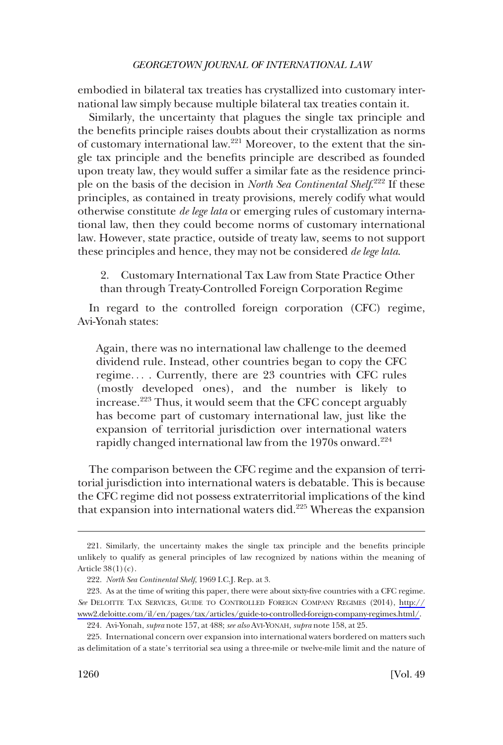<span id="page-41-0"></span>embodied in bilateral tax treaties has crystallized into customary international law simply because multiple bilateral tax treaties contain it.

Similarly, the uncertainty that plagues the single tax principle and the benefits principle raises doubts about their crystallization as norms of customary international law.221 Moreover, to the extent that the single tax principle and the benefits principle are described as founded upon treaty law, they would suffer a similar fate as the residence principle on the basis of the decision in *North Sea Continental Shelf*.<sup>222</sup> If these principles, as contained in treaty provisions, merely codify what would otherwise constitute *de lege lata* or emerging rules of customary international law, then they could become norms of customary international law. However, state practice, outside of treaty law, seems to not support these principles and hence, they may not be considered *de lege lata*.

2. Customary International Tax Law from State Practice Other than through Treaty-Controlled Foreign Corporation Regime

In regard to the controlled foreign corporation (CFC) regime, Avi-Yonah states:

Again, there was no international law challenge to the deemed dividend rule. Instead, other countries began to copy the CFC regime. . . . Currently, there are 23 countries with CFC rules (mostly developed ones), and the number is likely to increase.<sup>223</sup> Thus, it would seem that the CFC concept arguably has become part of customary international law, just like the expansion of territorial jurisdiction over international waters rapidly changed international law from the  $1970s$  onward.<sup>224</sup>

The comparison between the CFC regime and the expansion of territorial jurisdiction into international waters is debatable. This is because the CFC regime did not possess extraterritorial implications of the kind that expansion into international waters did.225 Whereas the expansion

<sup>221.</sup> Similarly, the uncertainty makes the single tax principle and the benefits principle unlikely to qualify as general principles of law recognized by nations within the meaning of Article  $38(1)(c)$ .

<sup>222.</sup> *North Sea Continental Shelf*, 1969 I.C.J. Rep. at 3.

<sup>223.</sup> As at the time of writing this paper, there were about sixty-five countries with a CFC regime. *See* DELOITTE TAX SERVICES, GUIDE TO CONTROLLED FOREIGN COMPANY REGIMES (2014), [http://](http://www2.deloitte.com/il/en/pages/tax/articles/guide-to-controlled-foreign-company-regimes.html/)  [www2.deloitte.com/il/en/pages/tax/articles/guide-to-controlled-foreign-company-regimes.html/](http://www2.deloitte.com/il/en/pages/tax/articles/guide-to-controlled-foreign-company-regimes.html/).

<sup>224.</sup> Avi-Yonah, *supra* note 157, at 488; *see also* AVI-YONAH, *supra* note 158, at 25.

<sup>225.</sup> International concern over expansion into international waters bordered on matters such as delimitation of a state's territorial sea using a three-mile or twelve-mile limit and the nature of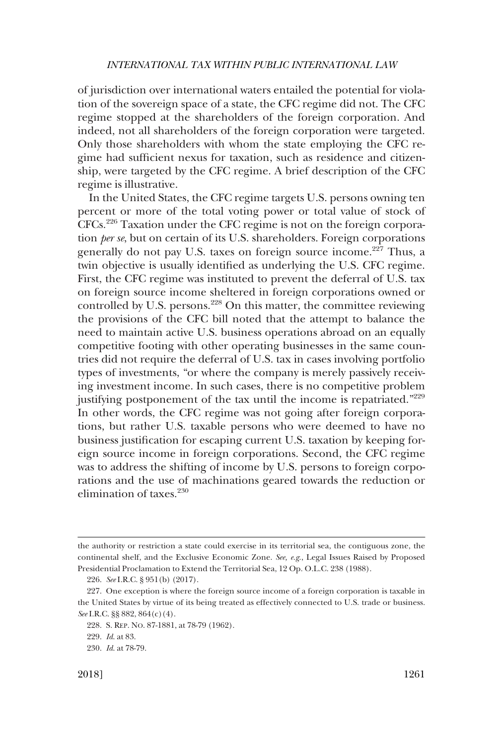of jurisdiction over international waters entailed the potential for violation of the sovereign space of a state, the CFC regime did not. The CFC regime stopped at the shareholders of the foreign corporation. And indeed, not all shareholders of the foreign corporation were targeted. Only those shareholders with whom the state employing the CFC regime had sufficient nexus for taxation, such as residence and citizenship, were targeted by the CFC regime. A brief description of the CFC regime is illustrative.

In the United States, the CFC regime targets U.S. persons owning ten percent or more of the total voting power or total value of stock of CFCs.226 Taxation under the CFC regime is not on the foreign corporation *per se*, but on certain of its U.S. shareholders. Foreign corporations generally do not pay U.S. taxes on foreign source income.<sup>227</sup> Thus, a twin objective is usually identified as underlying the U.S. CFC regime. First, the CFC regime was instituted to prevent the deferral of U.S. tax on foreign source income sheltered in foreign corporations owned or controlled by U.S. persons.<sup>228</sup> On this matter, the committee reviewing the provisions of the CFC bill noted that the attempt to balance the need to maintain active U.S. business operations abroad on an equally competitive footing with other operating businesses in the same countries did not require the deferral of U.S. tax in cases involving portfolio types of investments, "or where the company is merely passively receiving investment income. In such cases, there is no competitive problem justifying postponement of the tax until the income is repatriated."<sup>229</sup> In other words, the CFC regime was not going after foreign corporations, but rather U.S. taxable persons who were deemed to have no business justification for escaping current U.S. taxation by keeping foreign source income in foreign corporations. Second, the CFC regime was to address the shifting of income by U.S. persons to foreign corporations and the use of machinations geared towards the reduction or elimination of taxes.230

the authority or restriction a state could exercise in its territorial sea, the contiguous zone, the continental shelf, and the Exclusive Economic Zone. *See, e.g*., Legal Issues Raised by Proposed Presidential Proclamation to Extend the Territorial Sea, 12 Op. O.L.C. 238 (1988).

<sup>226.</sup> *See* I.R.C. § 951(b) (2017).

<sup>227.</sup> One exception is where the foreign source income of a foreign corporation is taxable in the United States by virtue of its being treated as effectively connected to U.S. trade or business. *See* I.R.C. §§ 882, 864(c)(4).

<sup>228.</sup> S. REP. NO. 87-1881, at 78-79 (1962).

<sup>229.</sup> *Id*. at 83.

<sup>230.</sup> *Id*. at 78-79.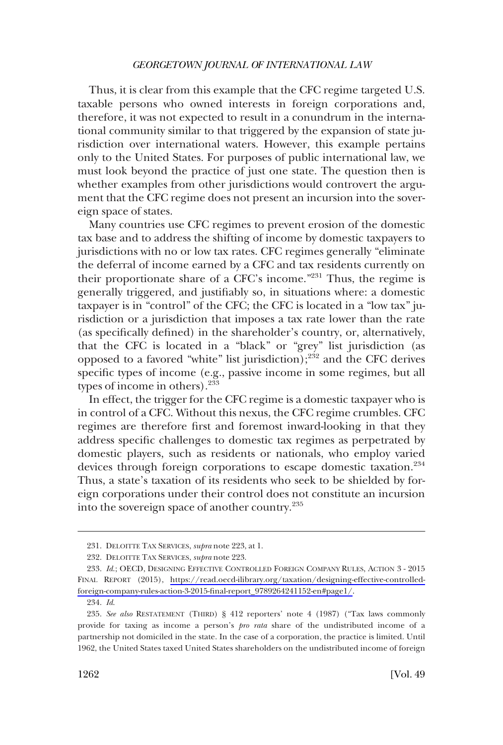Thus, it is clear from this example that the CFC regime targeted U.S. taxable persons who owned interests in foreign corporations and, therefore, it was not expected to result in a conundrum in the international community similar to that triggered by the expansion of state jurisdiction over international waters. However, this example pertains only to the United States. For purposes of public international law, we must look beyond the practice of just one state. The question then is whether examples from other jurisdictions would controvert the argument that the CFC regime does not present an incursion into the sovereign space of states.

Many countries use CFC regimes to prevent erosion of the domestic tax base and to address the shifting of income by domestic taxpayers to jurisdictions with no or low tax rates. CFC regimes generally "eliminate the deferral of income earned by a CFC and tax residents currently on their proportionate share of a CFC's income."231 Thus, the regime is generally triggered, and justifiably so, in situations where: a domestic taxpayer is in "control" of the CFC; the CFC is located in a "low tax" jurisdiction or a jurisdiction that imposes a tax rate lower than the rate (as specifically defined) in the shareholder's country, or, alternatively, that the CFC is located in a "black" or "grey" list jurisdiction (as opposed to a favored "white" list jurisdiction);<sup>232</sup> and the CFC derives specific types of income (e.g., passive income in some regimes, but all types of income in others). $233$ 

In effect, the trigger for the CFC regime is a domestic taxpayer who is in control of a CFC. Without this nexus, the CFC regime crumbles. CFC regimes are therefore first and foremost inward-looking in that they address specific challenges to domestic tax regimes as perpetrated by domestic players, such as residents or nationals, who employ varied devices through foreign corporations to escape domestic taxation.<sup>234</sup> Thus, a state's taxation of its residents who seek to be shielded by foreign corporations under their control does not constitute an incursion into the sovereign space of another country.235

<sup>231.</sup> DELOITTE TAX SERVICES, *supra* note 223, at 1.

<sup>232.</sup> DELOITTE TAX SERVICES, *supra* note 223.

<sup>233.</sup> Id.; OECD, DESIGNING EFFECTIVE CONTROLLED FOREIGN COMPANY RULES, ACTION 3 - 2015 FINAL REPORT (2015), [https://read.oecd-ilibrary.org/taxation/designing-effective-controlled](https://read.oecd-ilibrary.org/taxation/designing-effective-controlled-foreign-company-rules-action-3-2015-final-report_9789264241152-en#page1/)[foreign-company-rules-action-3-2015-final-report\\_9789264241152-en#page1/.](https://read.oecd-ilibrary.org/taxation/designing-effective-controlled-foreign-company-rules-action-3-2015-final-report_9789264241152-en#page1/)

<sup>234.</sup> *Id*.

<sup>235.</sup> *See also* RESTATEMENT (THIRD) § 412 reporters' note 4 (1987) ("Tax laws commonly provide for taxing as income a person's *pro rata* share of the undistributed income of a partnership not domiciled in the state. In the case of a corporation, the practice is limited. Until 1962, the United States taxed United States shareholders on the undistributed income of foreign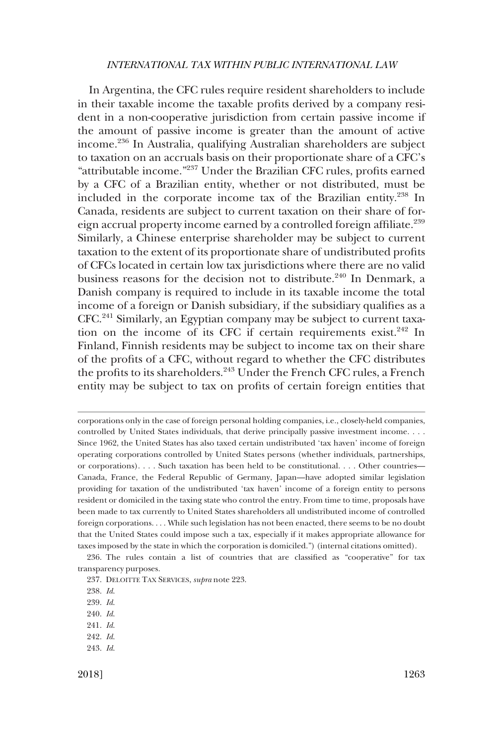In Argentina, the CFC rules require resident shareholders to include in their taxable income the taxable profits derived by a company resident in a non-cooperative jurisdiction from certain passive income if the amount of passive income is greater than the amount of active income.236 In Australia, qualifying Australian shareholders are subject to taxation on an accruals basis on their proportionate share of a CFC's "attributable income."237 Under the Brazilian CFC rules, profits earned by a CFC of a Brazilian entity, whether or not distributed, must be included in the corporate income tax of the Brazilian entity.238 In Canada, residents are subject to current taxation on their share of foreign accrual property income earned by a controlled foreign affiliate.<sup>239</sup> Similarly, a Chinese enterprise shareholder may be subject to current taxation to the extent of its proportionate share of undistributed profits of CFCs located in certain low tax jurisdictions where there are no valid business reasons for the decision not to distribute.<sup>240</sup> In Denmark, a Danish company is required to include in its taxable income the total income of a foreign or Danish subsidiary, if the subsidiary qualifies as a CFC.241 Similarly, an Egyptian company may be subject to current taxation on the income of its CFC if certain requirements exist. $242$  In Finland, Finnish residents may be subject to income tax on their share of the profits of a CFC, without regard to whether the CFC distributes the profits to its shareholders.<sup>243</sup> Under the French CFC rules, a French entity may be subject to tax on profits of certain foreign entities that

corporations only in the case of foreign personal holding companies, i.e., closely-held companies, controlled by United States individuals, that derive principally passive investment income. . . . Since 1962, the United States has also taxed certain undistributed 'tax haven' income of foreign operating corporations controlled by United States persons (whether individuals, partnerships, or corporations). . . . Such taxation has been held to be constitutional. . . . Other countries— Canada, France, the Federal Republic of Germany, Japan—have adopted similar legislation providing for taxation of the undistributed 'tax haven' income of a foreign entity to persons resident or domiciled in the taxing state who control the entry. From time to time, proposals have been made to tax currently to United States shareholders all undistributed income of controlled foreign corporations. . . . While such legislation has not been enacted, there seems to be no doubt that the United States could impose such a tax, especially if it makes appropriate allowance for taxes imposed by the state in which the corporation is domiciled.") (internal citations omitted).

236. The rules contain a list of countries that are classified as "cooperative" for tax transparency purposes.

242. *Id*. 243. *Id*.

<sup>237.</sup> DELOITTE TAX SERVICES, *supra* note 223.

<sup>238.</sup> *Id*.

<sup>239.</sup> *Id*.

<sup>240.</sup> *Id*.

<sup>241.</sup> *Id*.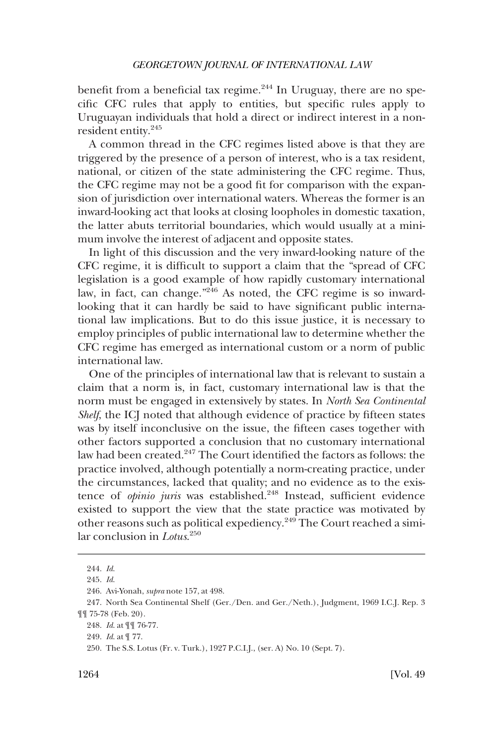benefit from a beneficial tax regime. $244$  In Uruguay, there are no specific CFC rules that apply to entities, but specific rules apply to Uruguayan individuals that hold a direct or indirect interest in a nonresident entity.245

A common thread in the CFC regimes listed above is that they are triggered by the presence of a person of interest, who is a tax resident, national, or citizen of the state administering the CFC regime. Thus, the CFC regime may not be a good fit for comparison with the expansion of jurisdiction over international waters. Whereas the former is an inward-looking act that looks at closing loopholes in domestic taxation, the latter abuts territorial boundaries, which would usually at a minimum involve the interest of adjacent and opposite states.

In light of this discussion and the very inward-looking nature of the CFC regime, it is difficult to support a claim that the "spread of CFC legislation is a good example of how rapidly customary international law, in fact, can change."<sup>246</sup> As noted, the CFC regime is so inwardlooking that it can hardly be said to have significant public international law implications. But to do this issue justice, it is necessary to employ principles of public international law to determine whether the CFC regime has emerged as international custom or a norm of public international law.

One of the principles of international law that is relevant to sustain a claim that a norm is, in fact, customary international law is that the norm must be engaged in extensively by states. In *North Sea Continental Shelf*, the ICJ noted that although evidence of practice by fifteen states was by itself inconclusive on the issue, the fifteen cases together with other factors supported a conclusion that no customary international law had been created.<sup>247</sup> The Court identified the factors as follows: the practice involved, although potentially a norm-creating practice, under the circumstances, lacked that quality; and no evidence as to the existence of *opinio juris* was established.<sup>248</sup> Instead, sufficient evidence existed to support the view that the state practice was motivated by other reasons such as political expediency.249 The Court reached a similar conclusion in *Lotus*. 250

<sup>244.</sup> *Id*.

<sup>245.</sup> *Id*.

<sup>246.</sup> Avi-Yonah, *supra* note 157, at 498.

<sup>247.</sup> North Sea Continental Shelf (Ger./Den. and Ger./Neth.), Judgment, 1969 I.C.J. Rep. 3 ¶¶ 75-78 (Feb. 20).

<sup>248.</sup> *Id*. at ¶¶ 76-77.

<sup>249.</sup> *Id*. at ¶ 77.

<sup>250.</sup> The S.S. Lotus (Fr. v. Turk.), 1927 P.C.I.J., (ser. A) No. 10 (Sept. 7).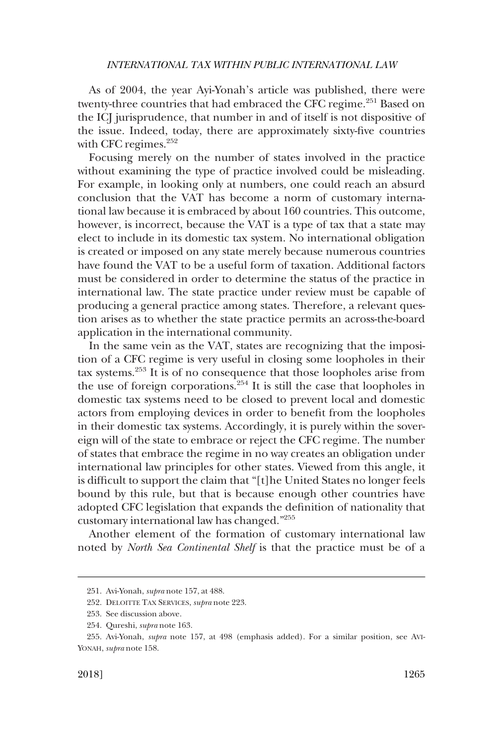As of 2004, the year Ayi-Yonah's article was published, there were twenty-three countries that had embraced the CFC regime.<sup>251</sup> Based on the ICJ jurisprudence, that number in and of itself is not dispositive of the issue. Indeed, today, there are approximately sixty-five countries with CFC regimes. $252$ 

Focusing merely on the number of states involved in the practice without examining the type of practice involved could be misleading. For example, in looking only at numbers, one could reach an absurd conclusion that the VAT has become a norm of customary international law because it is embraced by about 160 countries. This outcome, however, is incorrect, because the VAT is a type of tax that a state may elect to include in its domestic tax system. No international obligation is created or imposed on any state merely because numerous countries have found the VAT to be a useful form of taxation. Additional factors must be considered in order to determine the status of the practice in international law. The state practice under review must be capable of producing a general practice among states. Therefore, a relevant question arises as to whether the state practice permits an across-the-board application in the international community.

In the same vein as the VAT, states are recognizing that the imposition of a CFC regime is very useful in closing some loopholes in their tax systems.253 It is of no consequence that those loopholes arise from the use of foreign corporations. $254$  It is still the case that loopholes in domestic tax systems need to be closed to prevent local and domestic actors from employing devices in order to benefit from the loopholes in their domestic tax systems. Accordingly, it is purely within the sovereign will of the state to embrace or reject the CFC regime. The number of states that embrace the regime in no way creates an obligation under international law principles for other states. Viewed from this angle, it is difficult to support the claim that "[t]he United States no longer feels bound by this rule, but that is because enough other countries have adopted CFC legislation that expands the definition of nationality that customary international law has changed."255

Another element of the formation of customary international law noted by *North Sea Continental Shelf* is that the practice must be of a

<sup>251.</sup> Avi-Yonah, *supra* note 157, at 488.

<sup>252.</sup> DELOITTE TAX SERVICES, *supra* note 223.

<sup>253.</sup> See discussion above.

<sup>254.</sup> Qureshi, *supra* note 163.

<sup>255.</sup> Avi-Yonah, *supra* note 157, at 498 (emphasis added). For a similar position, see AVI-YONAH, *supra* note 158.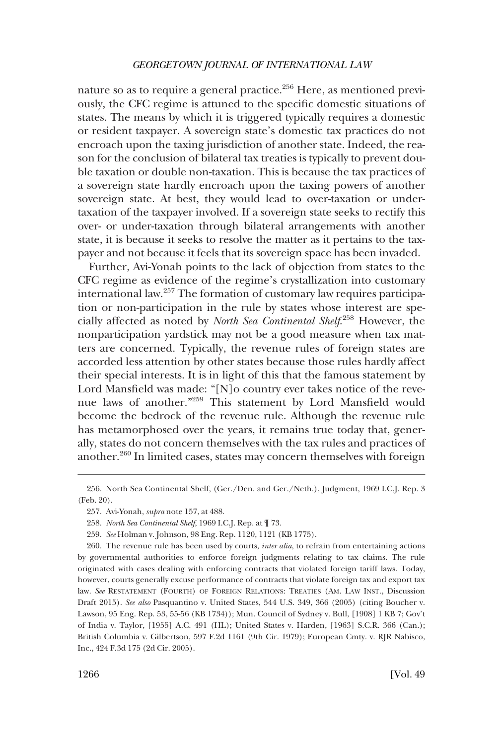nature so as to require a general practice.<sup>256</sup> Here, as mentioned previously, the CFC regime is attuned to the specific domestic situations of states. The means by which it is triggered typically requires a domestic or resident taxpayer. A sovereign state's domestic tax practices do not encroach upon the taxing jurisdiction of another state. Indeed, the reason for the conclusion of bilateral tax treaties is typically to prevent double taxation or double non-taxation. This is because the tax practices of a sovereign state hardly encroach upon the taxing powers of another sovereign state. At best, they would lead to over-taxation or undertaxation of the taxpayer involved. If a sovereign state seeks to rectify this over- or under-taxation through bilateral arrangements with another state, it is because it seeks to resolve the matter as it pertains to the taxpayer and not because it feels that its sovereign space has been invaded.

Further, Avi-Yonah points to the lack of objection from states to the CFC regime as evidence of the regime's crystallization into customary international law.257 The formation of customary law requires participation or non-participation in the rule by states whose interest are specially affected as noted by *North Sea Continental Shelf*. 258 However, the nonparticipation yardstick may not be a good measure when tax matters are concerned. Typically, the revenue rules of foreign states are accorded less attention by other states because those rules hardly affect their special interests. It is in light of this that the famous statement by Lord Mansfield was made: "[N]o country ever takes notice of the revenue laws of another."259 This statement by Lord Mansfield would become the bedrock of the revenue rule. Although the revenue rule has metamorphosed over the years, it remains true today that, generally, states do not concern themselves with the tax rules and practices of another.260 In limited cases, states may concern themselves with foreign

<sup>256.</sup> North Sea Continental Shelf, (Ger./Den. and Ger./Neth.), Judgment, 1969 I.C.J. Rep. 3 (Feb. 20).

<sup>257.</sup> Avi-Yonah, *supra* note 157, at 488.

<sup>258.</sup> *North Sea Continental Shelf*, 1969 I.C.J. Rep. at ¶ 73.

<sup>259.</sup> *See* Holman v. Johnson, 98 Eng. Rep. 1120, 1121 (KB 1775).

<sup>260.</sup> The revenue rule has been used by courts, *inter alia*, to refrain from entertaining actions by governmental authorities to enforce foreign judgments relating to tax claims. The rule originated with cases dealing with enforcing contracts that violated foreign tariff laws. Today, however, courts generally excuse performance of contracts that violate foreign tax and export tax law. *See* RESTATEMENT (FOURTH) OF FOREIGN RELATIONS: TREATIES (AM. LAW INST., Discussion Draft 2015). *See also* Pasquantino v. United States, 544 U.S. 349, 366 (2005) (citing Boucher v. Lawson, 95 Eng. Rep. 53, 55-56 (KB 1734)); Mun. Council of Sydney v. Bull, [1908] 1 KB 7; Gov't of India v. Taylor, [1955] A.C. 491 (HL); United States v. Harden, [1963] S.C.R. 366 (Can.); British Columbia v. Gilbertson, 597 F.2d 1161 (9th Cir. 1979); European Cmty. v. RJR Nabisco, Inc., 424 F.3d 175 (2d Cir. 2005).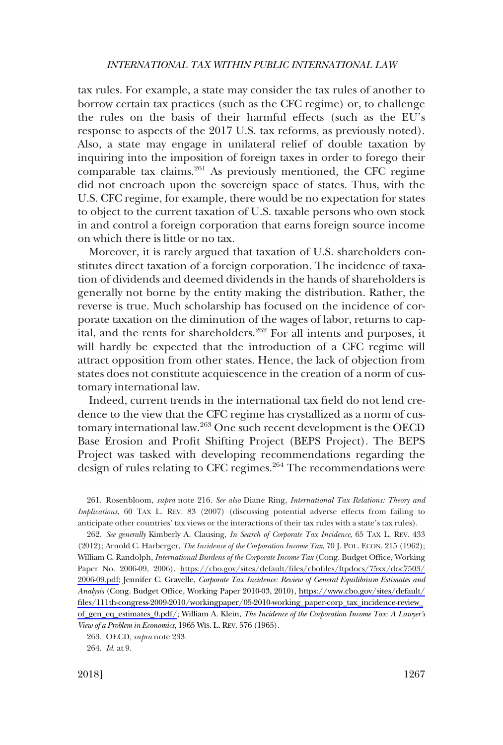tax rules. For example, a state may consider the tax rules of another to borrow certain tax practices (such as the CFC regime) or, to challenge the rules on the basis of their harmful effects (such as the EU's response to aspects of the 2017 U.S. tax reforms, as previously noted). Also, a state may engage in unilateral relief of double taxation by inquiring into the imposition of foreign taxes in order to forego their comparable tax claims. $261$  As previously mentioned, the CFC regime did not encroach upon the sovereign space of states. Thus, with the U.S. CFC regime, for example, there would be no expectation for states to object to the current taxation of U.S. taxable persons who own stock in and control a foreign corporation that earns foreign source income on which there is little or no tax.

Moreover, it is rarely argued that taxation of U.S. shareholders constitutes direct taxation of a foreign corporation. The incidence of taxation of dividends and deemed dividends in the hands of shareholders is generally not borne by the entity making the distribution. Rather, the reverse is true. Much scholarship has focused on the incidence of corporate taxation on the diminution of the wages of labor, returns to capital, and the rents for shareholders.<sup>262</sup> For all intents and purposes, it will hardly be expected that the introduction of a CFC regime will attract opposition from other states. Hence, the lack of objection from states does not constitute acquiescence in the creation of a norm of customary international law.

Indeed, current trends in the international tax field do not lend credence to the view that the CFC regime has crystallized as a norm of customary international law.263 One such recent development is the OECD Base Erosion and Profit Shifting Project (BEPS Project). The BEPS Project was tasked with developing recommendations regarding the design of rules relating to CFC regimes.<sup>264</sup> The recommendations were

<sup>261.</sup> Rosenbloom, *supra* note 216. *See also* Diane Ring, *International Tax Relations: Theory and Implications*, 60 TAX L. REV. 83 (2007) (discussing potential adverse effects from failing to anticipate other countries' tax views or the interactions of their tax rules with a state's tax rules).

*See generally* Kimberly A. Clausing, *In Search of Corporate Tax Incidence*, 65 TAX L. REV. 433 262. (2012); Arnold C. Harberger, *The Incidence of the Corporation Income Tax*, 70 J. POL. ECON. 215 (1962); William C. Randolph, *International Burdens of the Corporate Income Tax* (Cong. Budget Office, Working Paper No. 2006-09, 2006), [https://cbo.gov/sites/default/files/cbofiles/ftpdocs/75xx/doc7503/](https://cbo.gov/sites/default/files/cbofiles/ftpdocs/75xx/doc7503/2006-09.pdf)  [2006-09.pdf;](https://cbo.gov/sites/default/files/cbofiles/ftpdocs/75xx/doc7503/2006-09.pdf) Jennifer C. Gravelle, *Corporate Tax Incidence: Review of General Equilibrium Estimates and Analysis* (Cong. Budget Office, Working Paper 2010-03, 2010), [https://www.cbo.gov/sites/default/](https://www.cbo.gov/sites/default/files/111th-congress-2009-2010/workingpaper/05-2010-working_paper-corp_tax_incidence-review_of_gen_eq_estimates_0.pdf)  [files/111th-congress-2009-2010/workingpaper/05-2010-working\\_paper-corp\\_tax\\_incidence-review\\_](https://www.cbo.gov/sites/default/files/111th-congress-2009-2010/workingpaper/05-2010-working_paper-corp_tax_incidence-review_of_gen_eq_estimates_0.pdf) [of\\_gen\\_eq\\_estimates\\_0.pdf/](https://www.cbo.gov/sites/default/files/111th-congress-2009-2010/workingpaper/05-2010-working_paper-corp_tax_incidence-review_of_gen_eq_estimates_0.pdf); William A. Klein, *The Incidence of the Corporation Income Tax: A Lawyer's View of a Problem in Economics*, 1965 WIS. L. REV. 576 (1965).

<sup>263.</sup> OECD, *supra* note 233.

<sup>264.</sup> *Id*. at 9.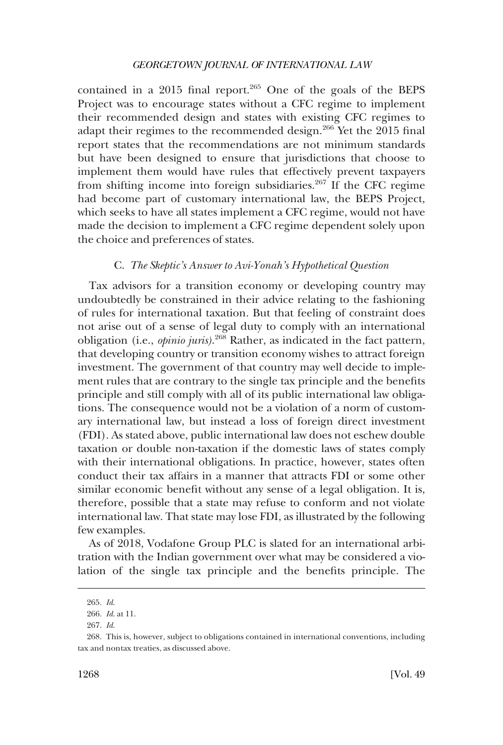<span id="page-49-0"></span>contained in a 2015 final report. $265$  One of the goals of the BEPS Project was to encourage states without a CFC regime to implement their recommended design and states with existing CFC regimes to adapt their regimes to the recommended design.<sup>266</sup> Yet the 2015 final report states that the recommendations are not minimum standards but have been designed to ensure that jurisdictions that choose to implement them would have rules that effectively prevent taxpayers from shifting income into foreign subsidiaries.267 If the CFC regime had become part of customary international law, the BEPS Project, which seeks to have all states implement a CFC regime, would not have made the decision to implement a CFC regime dependent solely upon the choice and preferences of states.

## C. *The Skeptic's Answer to Avi-Yonah's Hypothetical Question*

Tax advisors for a transition economy or developing country may undoubtedly be constrained in their advice relating to the fashioning of rules for international taxation. But that feeling of constraint does not arise out of a sense of legal duty to comply with an international obligation (i.e., *opinio juris)*. <sup>268</sup> Rather, as indicated in the fact pattern, that developing country or transition economy wishes to attract foreign investment. The government of that country may well decide to implement rules that are contrary to the single tax principle and the benefits principle and still comply with all of its public international law obligations. The consequence would not be a violation of a norm of customary international law, but instead a loss of foreign direct investment (FDI). As stated above, public international law does not eschew double taxation or double non-taxation if the domestic laws of states comply with their international obligations. In practice, however, states often conduct their tax affairs in a manner that attracts FDI or some other similar economic benefit without any sense of a legal obligation. It is, therefore, possible that a state may refuse to conform and not violate international law. That state may lose FDI, as illustrated by the following few examples.

As of 2018, Vodafone Group PLC is slated for an international arbitration with the Indian government over what may be considered a violation of the single tax principle and the benefits principle. The

<sup>265.</sup> *Id*.

<sup>266.</sup> *Id*. at 11.

<sup>267.</sup> *Id*.

<sup>268.</sup> This is, however, subject to obligations contained in international conventions, including tax and nontax treaties, as discussed above.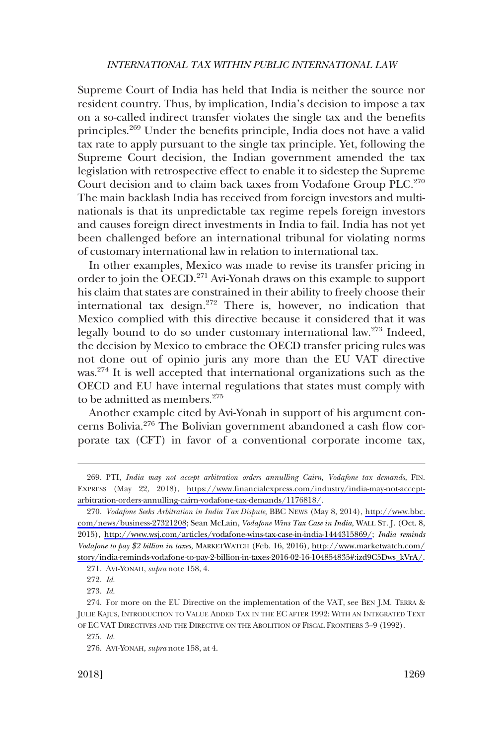Supreme Court of India has held that India is neither the source nor resident country. Thus, by implication, India's decision to impose a tax on a so-called indirect transfer violates the single tax and the benefits principles.<sup>269</sup> Under the benefits principle, India does not have a valid tax rate to apply pursuant to the single tax principle. Yet, following the Supreme Court decision, the Indian government amended the tax legislation with retrospective effect to enable it to sidestep the Supreme Court decision and to claim back taxes from Vodafone Group PLC.<sup>270</sup> The main backlash India has received from foreign investors and multinationals is that its unpredictable tax regime repels foreign investors and causes foreign direct investments in India to fail. India has not yet been challenged before an international tribunal for violating norms of customary international law in relation to international tax.

In other examples, Mexico was made to revise its transfer pricing in order to join the OECD.<sup>271</sup> Avi-Yonah draws on this example to support his claim that states are constrained in their ability to freely choose their international tax design.272 There is, however, no indication that Mexico complied with this directive because it considered that it was legally bound to do so under customary international law.273 Indeed, the decision by Mexico to embrace the OECD transfer pricing rules was not done out of opinio juris any more than the EU VAT directive was.274 It is well accepted that international organizations such as the OECD and EU have internal regulations that states must comply with to be admitted as members.<sup>275</sup>

Another example cited by Avi-Yonah in support of his argument concerns Bolivia.276 The Bolivian government abandoned a cash flow corporate tax (CFT) in favor of a conventional corporate income tax,

PTI, *India may not accept arbitration orders annulling Cairn, Vodafone tax demands*, FIN. 269. EXPRESS (May 22, 2018), [https://www.financialexpress.com/industry/india-may-not-accept](https://www.financialexpress.com/industry/india-may-not-accept-arbitration-orders-annulling-cairn-vodafone-tax-demands/1176818/)[arbitration-orders-annulling-cairn-vodafone-tax-demands/1176818/.](https://www.financialexpress.com/industry/india-may-not-accept-arbitration-orders-annulling-cairn-vodafone-tax-demands/1176818/)

*Vodafone Seeks Arbitration in India Tax Dispute*, BBC NEWS (May 8, 2014), [http://www.bbc.](http://www.bbc.com/news/business-27321208) 270. [com/news/business-27321208](http://www.bbc.com/news/business-27321208); Sean McLain, *Vodafone Wins Tax Case in India*, WALL ST. J. (Oct. 8, 2015), [http://www.wsj.com/articles/vodafone-wins-tax-case-in-india-1444315869/;](http://www.wsj.com/articles/vodafone-wins-tax-case-in-india-1444315869/) *India reminds Vodafone to pay \$2 billion in taxes*, MARKETWATCH (Feb. 16, 2016), [http://www.marketwatch.com/](http://www.marketwatch.com/story/india-reminds-vodafone-to-pay-2-billion-in-taxes-2016-02-16-104854835#:izd9C5Dws_kVrA/) [story/india-reminds-vodafone-to-pay-2-billion-in-taxes-2016-02-16-104854835#:izd9C5Dws\\_kVrA/.](http://www.marketwatch.com/story/india-reminds-vodafone-to-pay-2-billion-in-taxes-2016-02-16-104854835#:izd9C5Dws_kVrA/)

<sup>271.</sup> AVI-YONAH, *supra* note 158, 4.

<sup>272.</sup> *Id*.

<sup>273.</sup> *Id*.

<sup>274.</sup> For more on the EU Directive on the implementation of the VAT, see BEN J.M. TERRA & JULIE KAJUS, INTRODUCTION TO VALUE ADDED TAX IN THE EC AFTER 1992: WITH AN INTEGRATED TEXT OF EC VAT DIRECTIVES AND THE DIRECTIVE ON THE ABOLITION OF FISCAL FRONTIERS 3–9 (1992).

<sup>275.</sup> *Id*.

<sup>276.</sup> AVI-YONAH, *supra* note 158, at 4.